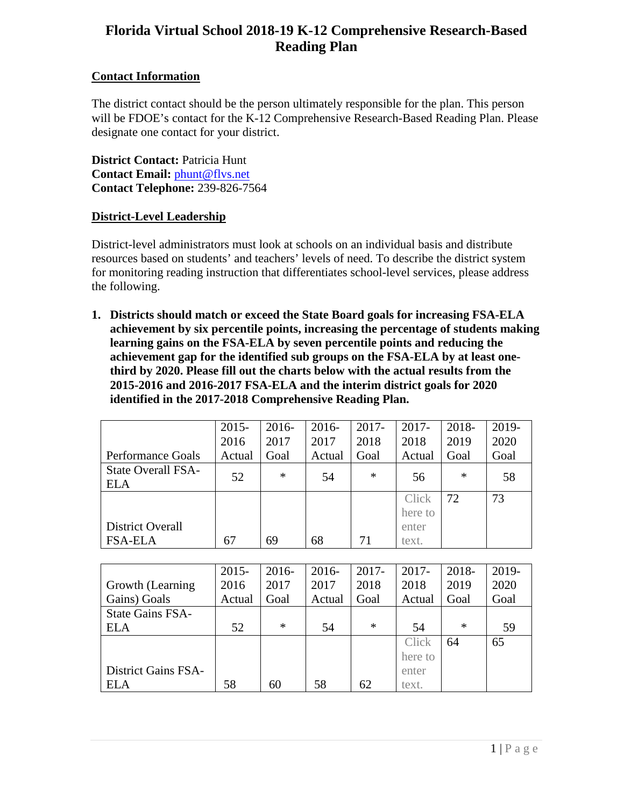# **Florida Virtual School 2018-19 K-12 Comprehensive Research-Based Reading Plan**

# **Contact Information**

The district contact should be the person ultimately responsible for the plan. This person will be FDOE's contact for the K-12 Comprehensive Research-Based Reading Plan. Please designate one contact for your district.

**District Contact:** Patricia Hunt **Contact Email:** [phunt@flvs.net](mailto:phunt@flvs.net) **Contact Telephone:** 239-826-7564

# **District-Level Leadership**

District-level administrators must look at schools on an individual basis and distribute resources based on students' and teachers' levels of need. To describe the district system for monitoring reading instruction that differentiates school-level services, please address the following.

**1. Districts should match or exceed the State Board goals for increasing FSA-ELA achievement by six percentile points, increasing the percentage of students making learning gains on the FSA-ELA by seven percentile points and reducing the achievement gap for the identified sub groups on the FSA-ELA by at least onethird by 2020. Please fill out the charts below with the actual results from the 2015-2016 and 2016-2017 FSA-ELA and the interim district goals for 2020 identified in the 2017-2018 Comprehensive Reading Plan.**

|                                         | $2015 -$<br>2016 | $2016-$<br>2017 | $2016 -$<br>2017 | $2017 -$<br>2018 | $2017 -$<br>2018 | 2018-<br>2019 | 2019-<br>2020 |
|-----------------------------------------|------------------|-----------------|------------------|------------------|------------------|---------------|---------------|
| <b>Performance Goals</b>                | Actual           | Goal            | Actual           | Goal             | Actual           | Goal          | Goal          |
| <b>State Overall FSA-</b><br><b>ELA</b> | 52               | $\ast$          | 54               | $\ast$           | 56               | $\ast$        | 58            |
|                                         |                  |                 |                  |                  | Click<br>here to | 72            | 73            |
| District Overall                        |                  |                 |                  |                  | enter            |               |               |
| <b>FSA-ELA</b>                          | 67               | 69              | 68               | 71               | text.            |               |               |

|                            | $2015 -$ | $2016-$ | $2016 -$ | $2017 -$ | $2017 -$ | 2018-  | 2019- |
|----------------------------|----------|---------|----------|----------|----------|--------|-------|
| Growth (Learning)          | 2016     | 2017    | 2017     | 2018     | 2018     | 2019   | 2020  |
| Gains) Goals               | Actual   | Goal    | Actual   | Goal     | Actual   | Goal   | Goal  |
| <b>State Gains FSA-</b>    |          |         |          |          |          |        |       |
| <b>ELA</b>                 | 52       | $\ast$  | 54       | $\ast$   | 54       | $\ast$ | 59    |
|                            |          |         |          |          | Click    | 64     | 65    |
|                            |          |         |          |          | here to  |        |       |
| <b>District Gains FSA-</b> |          |         |          |          | enter    |        |       |
| <b>ELA</b>                 | 58       | 60      | 58       | 62       | text.    |        |       |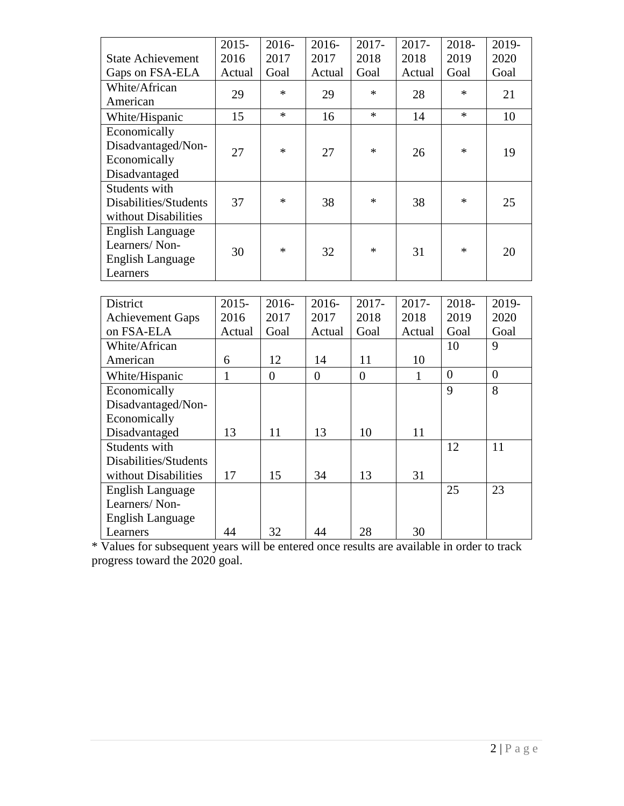|                          | $2015 -$     | 2016-          | $2016 -$         | 2017-          | 2017-        | 2018-            | 2019-            |
|--------------------------|--------------|----------------|------------------|----------------|--------------|------------------|------------------|
| <b>State Achievement</b> | 2016         | 2017           | 2017             | 2018           | 2018         | 2019             | 2020             |
| Gaps on FSA-ELA          | Actual       | Goal           | Actual           | Goal           | Actual       | Goal             | Goal             |
| White/African            | 29           | $\ast$         | 29               | $\ast$         | 28           | $\ast$           | 21               |
| American                 |              |                |                  |                |              |                  |                  |
| White/Hispanic           | 15           | $\ast$         | 16               | $\ast$         | 14           | $\ast$           | 10               |
| Economically             |              |                |                  |                |              |                  |                  |
| Disadvantaged/Non-       | 27           | $\ast$         | 27               | $\ast$         | 26           | $\ast$           | 19               |
| Economically             |              |                |                  |                |              |                  |                  |
| Disadvantaged            |              |                |                  |                |              |                  |                  |
| Students with            |              |                |                  |                |              |                  |                  |
| Disabilities/Students    | 37           | $\ast$         | 38               | $\ast$         | 38           | $\ast$           | 25               |
| without Disabilities     |              |                |                  |                |              |                  |                  |
| <b>English Language</b>  |              |                |                  |                |              |                  |                  |
| Learners/Non-            | 30           | $\ast$         | 32               | $\ast$         | 31           | $\ast$           | 20               |
| <b>English Language</b>  |              |                |                  |                |              |                  |                  |
| Learners                 |              |                |                  |                |              |                  |                  |
|                          |              |                |                  |                |              |                  |                  |
| District                 | $2015 -$     | 2016-          | 2016-            | 2017-          | 2017-        | 2018-            | 2019-            |
| <b>Achievement Gaps</b>  | 2016         | 2017           | 2017             | 2018           | 2018         | 2019             | 2020             |
| on FSA-ELA               | Actual       | Goal           | Actual           | Goal           | Actual       | Goal             | Goal             |
| White/African            |              |                |                  |                |              | 10               | 9                |
| American                 | 6            | 12             | 14               | 11             | 10           |                  |                  |
| White/Hispanic           | $\mathbf{1}$ | $\overline{0}$ | $\boldsymbol{0}$ | $\overline{0}$ | $\mathbf{1}$ | $\boldsymbol{0}$ | $\boldsymbol{0}$ |
| Economically             |              |                |                  |                |              | 9                | 8                |
| Disadvantaged/Non-       |              |                |                  |                |              |                  |                  |
| Economically             |              |                |                  |                |              |                  |                  |
| Disadvantaged            | 13           | 11             | 13               | 10             | 11           |                  |                  |
| Students with            |              |                |                  |                |              | 12               | 11               |
| Disabilities/Students    |              |                |                  |                |              |                  |                  |
| without Disabilities     | 17           | 15             | 34               | 13             | 31           |                  |                  |
| <b>English Language</b>  |              |                |                  |                |              | 25               | 23               |
| Learners/Non-            |              |                |                  |                |              |                  |                  |
| <b>English Language</b>  |              |                |                  |                |              |                  |                  |

\* Values for subsequent years will be entered once results are available in order to track progress toward the 2020 goal.

Learners 144 32 44 28 30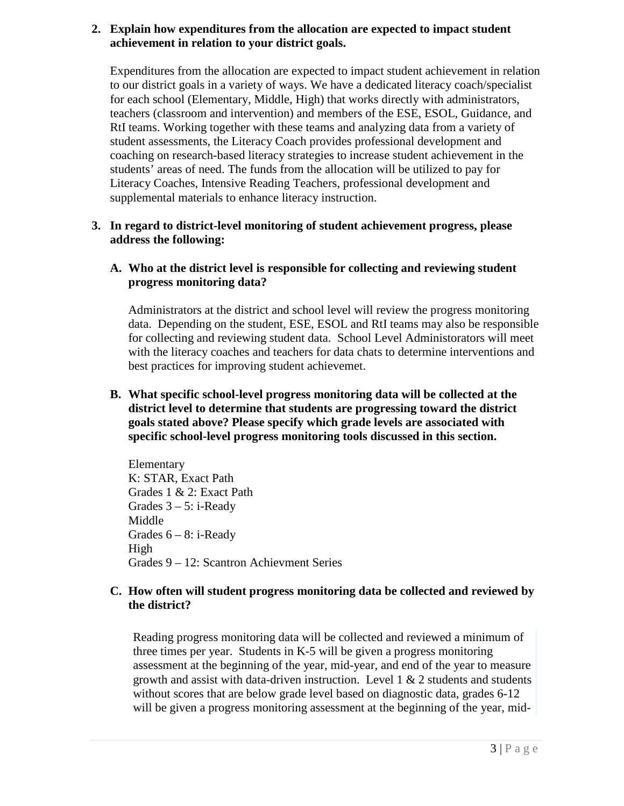#### **2. Explain how expenditures from the allocation are expected to impact student achievement in relation to your district goals.**

Expenditures from the allocation are expected to impact student achievement in relation to our district goals in a variety of ways. We have a dedicated literacy coach/specialist for each school (Elementary, Middle, High) that works directly with administrators, teachers (classroom and intervention) and members of the ESE, ESOL, Guidance, and RtI teams. Working together with these teams and analyzing data from a variety of student assessments, the Literacy Coach provides professional development and coaching on research-based literacy strategies to increase student achievement in the students' areas of need. The funds from the allocation will be utilized to pay for Literacy Coaches, Intensive Reading Teachers, professional development and supplemental materials to enhance literacy instruction.

# **3. In regard to district-level monitoring of student achievement progress, please address the following:**

# **A. Who at the district level is responsible for collecting and reviewing student progress monitoring data?**

Administrators at the district and school level will review the progress monitoring data. Depending on the student, ESE, ESOL and RtI teams may also be responsible for collecting and reviewing student data. School Level Administorators will meet with the literacy coaches and teachers for data chats to determine interventions and best practices for improving student achievemet.

#### **B. What specific school-level progress monitoring data will be collected at the district level to determine that students are progressing toward the district goals stated above? Please specify which grade levels are associated with specific school-level progress monitoring tools discussed in this section.**

Elementary K: STAR, Exact Path Grades 1 & 2: Exact Path Grades  $3 - 5$ : i-Ready Middle Grades  $6 - 8$ : i-Ready High Grades 9 – 12: Scantron Achievment Series

# **C. How often will student progress monitoring data be collected and reviewed by the district?**

Reading progress monitoring data will be collected and reviewed a minimum of three times per year. Students in K-5 will be given a progress monitoring assessment at the beginning of the year, mid-year, and end of the year to measure growth and assist with data-driven instruction. Level  $1 \& 2$  students and students without scores that are below grade level based on diagnostic data, grades 6-12 will be given a progress monitoring assessment at the beginning of the year, mid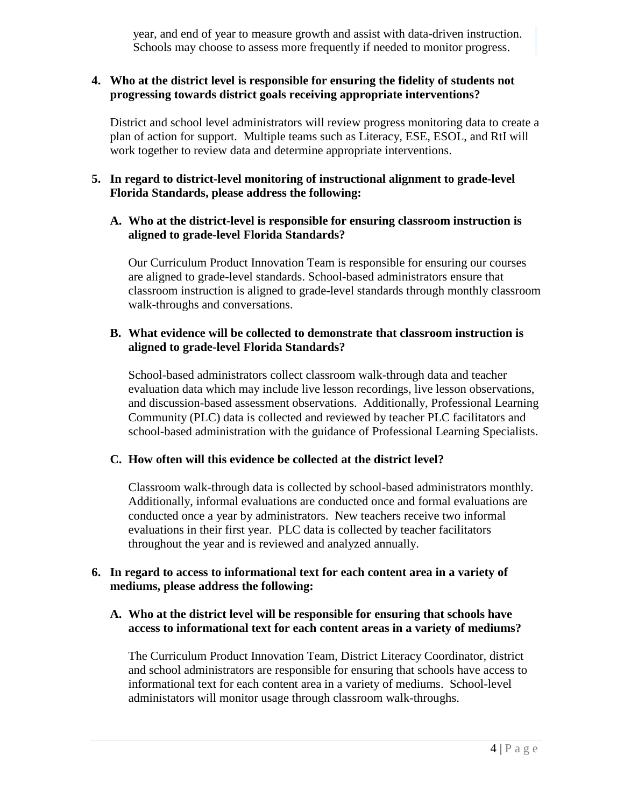year, and end of year to measure growth and assist with data-driven instruction. Schools may choose to assess more frequently if needed to monitor progress.

#### **4. Who at the district level is responsible for ensuring the fidelity of students not progressing towards district goals receiving appropriate interventions?**

District and school level administrators will review progress monitoring data to create a plan of action for support. Multiple teams such as Literacy, ESE, ESOL, and RtI will work together to review data and determine appropriate interventions.

# **5. In regard to district-level monitoring of instructional alignment to grade-level Florida Standards, please address the following:**

#### **A. Who at the district-level is responsible for ensuring classroom instruction is aligned to grade-level Florida Standards?**

Our Curriculum Product Innovation Team is responsible for ensuring our courses are aligned to grade-level standards. School-based administrators ensure that classroom instruction is aligned to grade-level standards through monthly classroom walk-throughs and conversations.

# **B. What evidence will be collected to demonstrate that classroom instruction is aligned to grade-level Florida Standards?**

School-based administrators collect classroom walk-through data and teacher evaluation data which may include live lesson recordings, live lesson observations, and discussion-based assessment observations. Additionally, Professional Learning Community (PLC) data is collected and reviewed by teacher PLC facilitators and school-based administration with the guidance of Professional Learning Specialists.

# **C. How often will this evidence be collected at the district level?**

Classroom walk-through data is collected by school-based administrators monthly. Additionally, informal evaluations are conducted once and formal evaluations are conducted once a year by administrators. New teachers receive two informal evaluations in their first year. PLC data is collected by teacher facilitators throughout the year and is reviewed and analyzed annually.

#### **6. In regard to access to informational text for each content area in a variety of mediums, please address the following:**

# **A. Who at the district level will be responsible for ensuring that schools have access to informational text for each content areas in a variety of mediums?**

The Curriculum Product Innovation Team, District Literacy Coordinator, district and school administrators are responsible for ensuring that schools have access to informational text for each content area in a variety of mediums. School-level administators will monitor usage through classroom walk-throughs.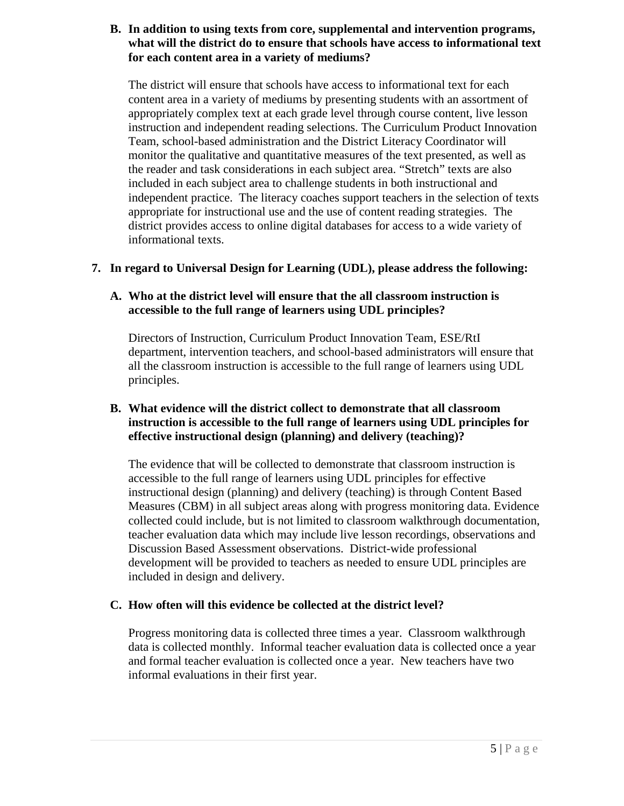#### **B. In addition to using texts from core, supplemental and intervention programs, what will the district do to ensure that schools have access to informational text for each content area in a variety of mediums?**

The district will ensure that schools have access to informational text for each content area in a variety of mediums by presenting students with an assortment of appropriately complex text at each grade level through course content, live lesson instruction and independent reading selections. The Curriculum Product Innovation Team, school-based administration and the District Literacy Coordinator will monitor the qualitative and quantitative measures of the text presented, as well as the reader and task considerations in each subject area. "Stretch" texts are also included in each subject area to challenge students in both instructional and independent practice. The literacy coaches support teachers in the selection of texts appropriate for instructional use and the use of content reading strategies. The district provides access to online digital databases for access to a wide variety of informational texts.

# **7. In regard to Universal Design for Learning (UDL), please address the following:**

# **A. Who at the district level will ensure that the all classroom instruction is accessible to the full range of learners using UDL principles?**

Directors of Instruction, Curriculum Product Innovation Team, ESE/RtI department, intervention teachers, and school-based administrators will ensure that all the classroom instruction is accessible to the full range of learners using UDL principles.

# **B. What evidence will the district collect to demonstrate that all classroom instruction is accessible to the full range of learners using UDL principles for effective instructional design (planning) and delivery (teaching)?**

The evidence that will be collected to demonstrate that classroom instruction is accessible to the full range of learners using UDL principles for effective instructional design (planning) and delivery (teaching) is through Content Based Measures (CBM) in all subject areas along with progress monitoring data. Evidence collected could include, but is not limited to classroom walkthrough documentation, teacher evaluation data which may include live lesson recordings, observations and Discussion Based Assessment observations. District-wide professional development will be provided to teachers as needed to ensure UDL principles are included in design and delivery.

# **C. How often will this evidence be collected at the district level?**

Progress monitoring data is collected three times a year. Classroom walkthrough data is collected monthly. Informal teacher evaluation data is collected once a year and formal teacher evaluation is collected once a year. New teachers have two informal evaluations in their first year.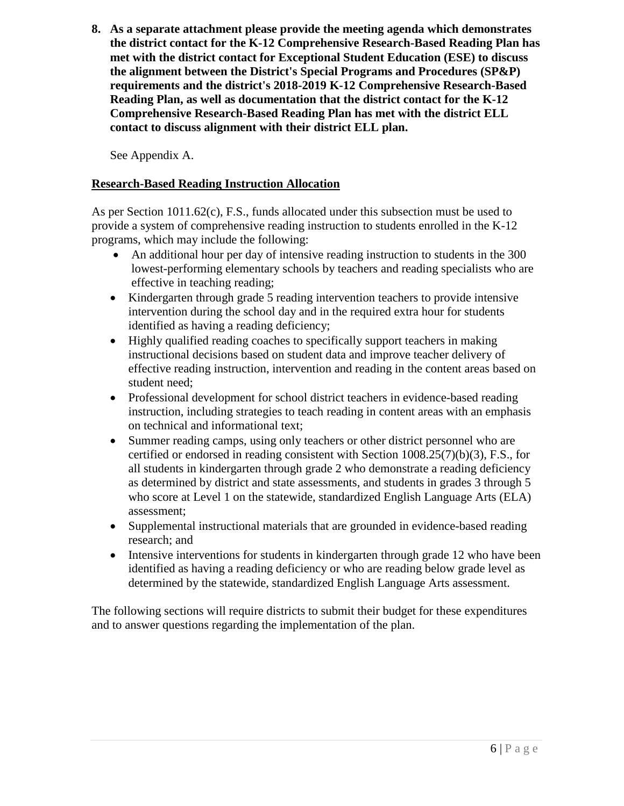**8. As a separate attachment please provide the meeting agenda which demonstrates the district contact for the K-12 Comprehensive Research-Based Reading Plan has met with the district contact for Exceptional Student Education (ESE) to discuss the alignment between the District's Special Programs and Procedures (SP&P) requirements and the district's 2018-2019 K-12 Comprehensive Research-Based Reading Plan, as well as documentation that the district contact for the K-12 Comprehensive Research-Based Reading Plan has met with the district ELL contact to discuss alignment with their district ELL plan.** 

See Appendix A.

# **Research-Based Reading Instruction Allocation**

As per Section 1011.62(c), F.S., funds allocated under this subsection must be used to provide a system of comprehensive reading instruction to students enrolled in the K-12 programs, which may include the following:

- An additional hour per day of intensive reading instruction to students in the 300 lowest-performing elementary schools by teachers and reading specialists who are effective in teaching reading;
- Kindergarten through grade 5 reading intervention teachers to provide intensive intervention during the school day and in the required extra hour for students identified as having a reading deficiency;
- Highly qualified reading coaches to specifically support teachers in making instructional decisions based on student data and improve teacher delivery of effective reading instruction, intervention and reading in the content areas based on student need;
- Professional development for school district teachers in evidence-based reading instruction, including strategies to teach reading in content areas with an emphasis on technical and informational text;
- Summer reading camps, using only teachers or other district personnel who are certified or endorsed in reading consistent with Section  $1008.25(7)(b)(3)$ , F.S., for all students in kindergarten through grade 2 who demonstrate a reading deficiency as determined by district and state assessments, and students in grades 3 through 5 who score at Level 1 on the statewide, standardized English Language Arts (ELA) assessment;
- Supplemental instructional materials that are grounded in evidence-based reading research; and
- Intensive interventions for students in kindergarten through grade 12 who have been identified as having a reading deficiency or who are reading below grade level as determined by the statewide, standardized English Language Arts assessment.

The following sections will require districts to submit their budget for these expenditures and to answer questions regarding the implementation of the plan.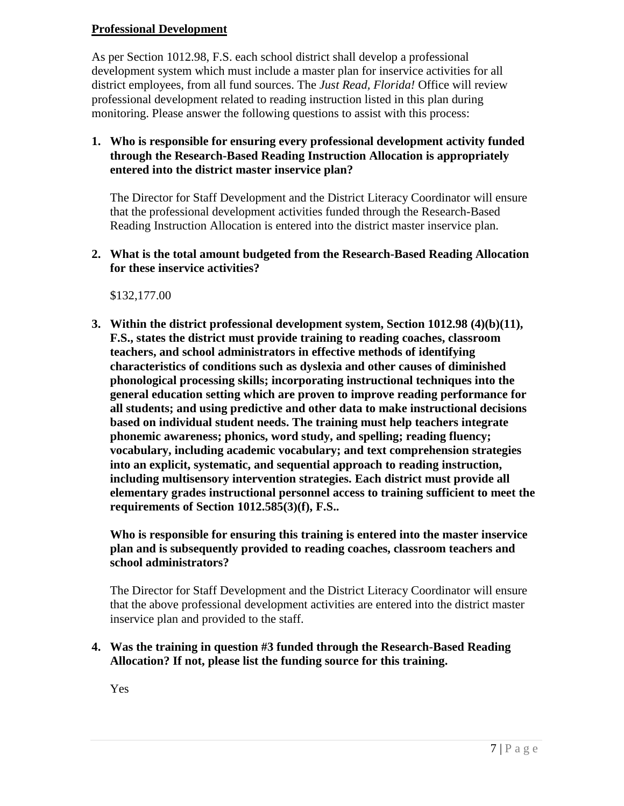# **Professional Development**

As per Section 1012.98, F.S. each school district shall develop a professional development system which must include a master plan for inservice activities for all district employees, from all fund sources. The *Just Read, Florida!* Office will review professional development related to reading instruction listed in this plan during monitoring. Please answer the following questions to assist with this process:

# **1. Who is responsible for ensuring every professional development activity funded through the Research-Based Reading Instruction Allocation is appropriately entered into the district master inservice plan?**

The Director for Staff Development and the District Literacy Coordinator will ensure that the professional development activities funded through the Research-Based Reading Instruction Allocation is entered into the district master inservice plan.

#### **2. What is the total amount budgeted from the Research-Based Reading Allocation for these inservice activities?**

\$132,177.00

**3. Within the district professional development system, Section 1012.98 (4)(b)(11), F.S., states the district must provide training to reading coaches, classroom teachers, and school administrators in effective methods of identifying characteristics of conditions such as dyslexia and other causes of diminished phonological processing skills; incorporating instructional techniques into the general education setting which are proven to improve reading performance for all students; and using predictive and other data to make instructional decisions based on individual student needs. The training must help teachers integrate phonemic awareness; phonics, word study, and spelling; reading fluency; vocabulary, including academic vocabulary; and text comprehension strategies into an explicit, systematic, and sequential approach to reading instruction, including multisensory intervention strategies. Each district must provide all elementary grades instructional personnel access to training sufficient to meet the requirements of Section 1012.585(3)(f), F.S..**

**Who is responsible for ensuring this training is entered into the master inservice plan and is subsequently provided to reading coaches, classroom teachers and school administrators?** 

The Director for Staff Development and the District Literacy Coordinator will ensure that the above professional development activities are entered into the district master inservice plan and provided to the staff.

# **4. Was the training in question #3 funded through the Research-Based Reading Allocation? If not, please list the funding source for this training.**

Yes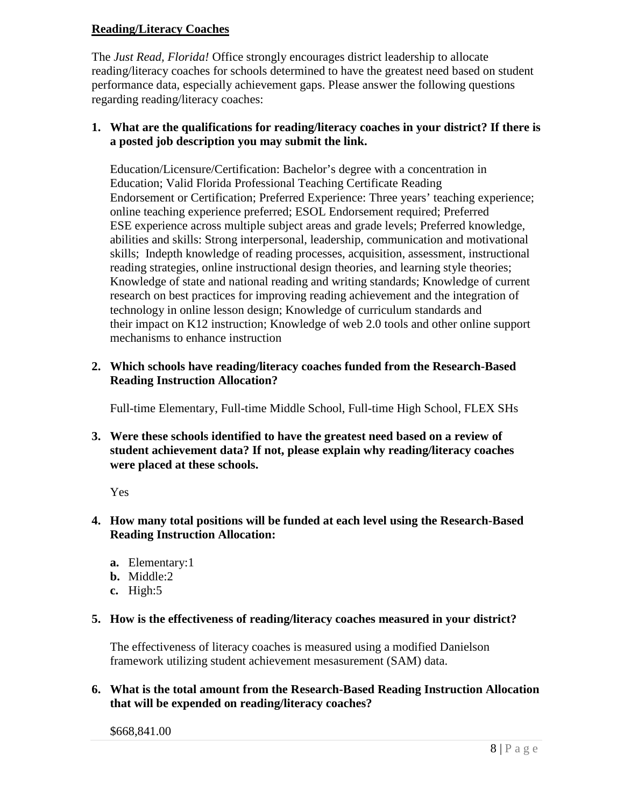#### **Reading/Literacy Coaches**

The *Just Read, Florida!* Office strongly encourages district leadership to allocate reading/literacy coaches for schools determined to have the greatest need based on student performance data, especially achievement gaps. Please answer the following questions regarding reading/literacy coaches:

#### **1. What are the qualifications for reading/literacy coaches in your district? If there is a posted job description you may submit the link.**

Education/Licensure/Certification: Bachelor's degree with a concentration in Education; Valid Florida Professional Teaching Certificate Reading Endorsement or Certification; Preferred Experience: Three years' teaching experience; online teaching experience preferred; ESOL Endorsement required; Preferred ESE experience across multiple subject areas and grade levels; Preferred knowledge, abilities and skills: Strong interpersonal, leadership, communication and motivational skills; Indepth knowledge of reading processes, acquisition, assessment, instructional reading strategies, online instructional design theories, and learning style theories; Knowledge of state and national reading and writing standards; Knowledge of current research on best practices for improving reading achievement and the integration of technology in online lesson design; Knowledge of curriculum standards and their impact on K12 instruction; Knowledge of web 2.0 tools and other online support mechanisms to enhance instruction

# **2. Which schools have reading/literacy coaches funded from the Research-Based Reading Instruction Allocation?**

Full-time Elementary, Full-time Middle School, Full-time High School, FLEX SHs

**3. Were these schools identified to have the greatest need based on a review of student achievement data? If not, please explain why reading/literacy coaches were placed at these schools.**

Yes

#### **4. How many total positions will be funded at each level using the Research-Based Reading Instruction Allocation:**

- **a.** Elementary:1
- **b.** Middle:2
- **c.** High:5

#### **5. How is the effectiveness of reading/literacy coaches measured in your district?**

The effectiveness of literacy coaches is measured using a modified Danielson framework utilizing student achievement mesasurement (SAM) data.

# **6. What is the total amount from the Research-Based Reading Instruction Allocation that will be expended on reading/literacy coaches?**

\$668,841.00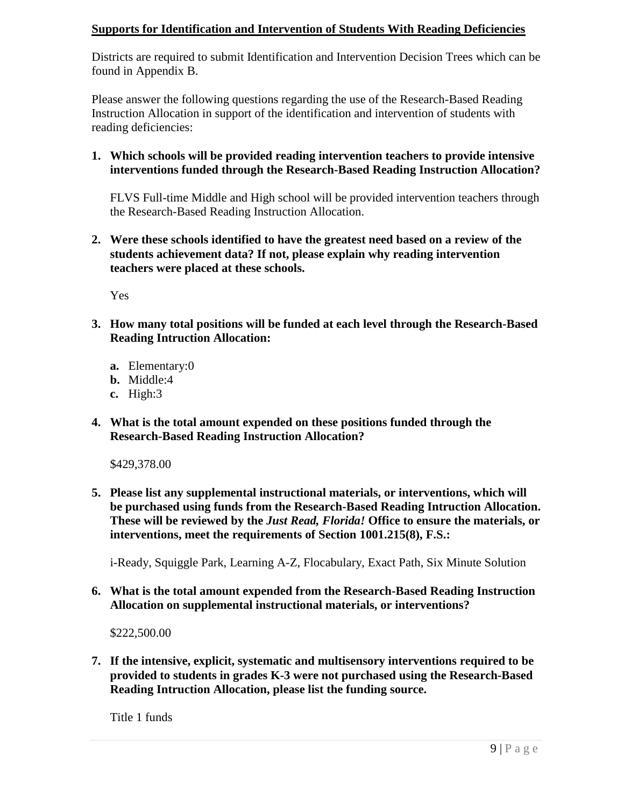# **Supports for Identification and Intervention of Students With Reading Deficiencies**

Districts are required to submit Identification and Intervention Decision Trees which can be found in Appendix B.

Please answer the following questions regarding the use of the Research-Based Reading Instruction Allocation in support of the identification and intervention of students with reading deficiencies:

# **1. Which schools will be provided reading intervention teachers to provide intensive interventions funded through the Research-Based Reading Instruction Allocation?**

FLVS Full-time Middle and High school will be provided intervention teachers through the Research-Based Reading Instruction Allocation.

**2. Were these schools identified to have the greatest need based on a review of the students achievement data? If not, please explain why reading intervention teachers were placed at these schools.**

Yes

- **3. How many total positions will be funded at each level through the Research-Based Reading Intruction Allocation:** 
	- **a.** Elementary:0
	- **b.** Middle:4
	- **c.** High:3
- **4. What is the total amount expended on these positions funded through the Research-Based Reading Instruction Allocation?**

\$429,378.00

**5. Please list any supplemental instructional materials, or interventions, which will be purchased using funds from the Research-Based Reading Intruction Allocation. These will be reviewed by the** *Just Read, Florida!* **Office to ensure the materials, or interventions, meet the requirements of Section 1001.215(8), F.S.:**

i-Ready, Squiggle Park, Learning A-Z, Flocabulary, Exact Path, Six Minute Solution

**6. What is the total amount expended from the Research-Based Reading Instruction Allocation on supplemental instructional materials, or interventions?** 

\$222,500.00

**7. If the intensive, explicit, systematic and multisensory interventions required to be provided to students in grades K-3 were not purchased using the Research-Based Reading Intruction Allocation, please list the funding source.**

Title 1 funds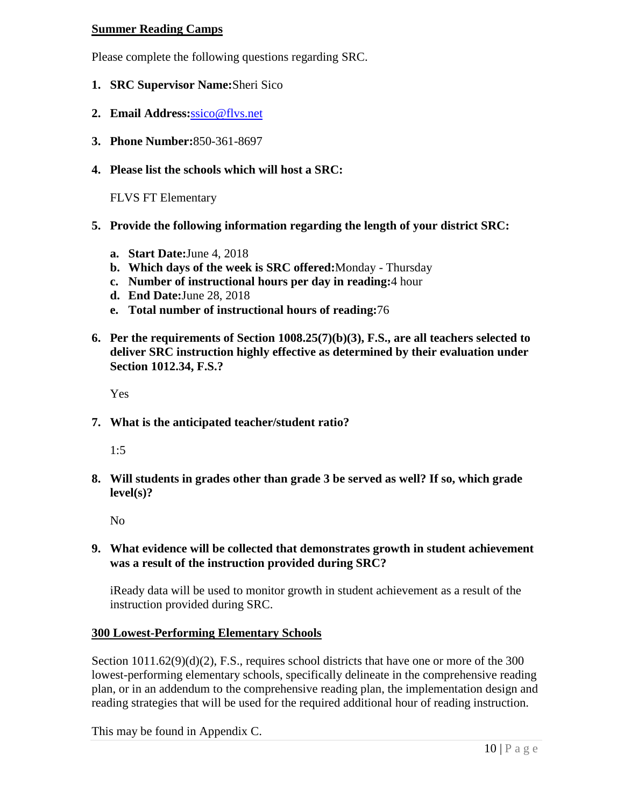#### **Summer Reading Camps**

Please complete the following questions regarding SRC.

- **1. SRC Supervisor Name:**Sheri Sico
- **2. Email Address:**[ssico@flvs.net](mailto:ssico@flvs.net)
- **3. Phone Number:**850-361-8697
- **4. Please list the schools which will host a SRC:**

FLVS FT Elementary

- **5. Provide the following information regarding the length of your district SRC:**
	- **a. Start Date:**June 4, 2018
	- **b. Which days of the week is SRC offered:**Monday Thursday
	- **c. Number of instructional hours per day in reading:**4 hour
	- **d. End Date:**June 28, 2018
	- **e. Total number of instructional hours of reading:**76
- **6. Per the requirements of Section 1008.25(7)(b)(3), F.S., are all teachers selected to deliver SRC instruction highly effective as determined by their evaluation under Section 1012.34, F.S.?**

Yes

**7. What is the anticipated teacher/student ratio?**

1:5

**8. Will students in grades other than grade 3 be served as well? If so, which grade level(s)?**

No

#### **9. What evidence will be collected that demonstrates growth in student achievement was a result of the instruction provided during SRC?**

iReady data will be used to monitor growth in student achievement as a result of the instruction provided during SRC.

#### **300 Lowest-Performing Elementary Schools**

Section  $1011.62(9)(d)(2)$ , F.S., requires school districts that have one or more of the 300 lowest-performing elementary schools, specifically delineate in the comprehensive reading plan, or in an addendum to the comprehensive reading plan, the implementation design and reading strategies that will be used for the required additional hour of reading instruction.

This may be found in Appendix C.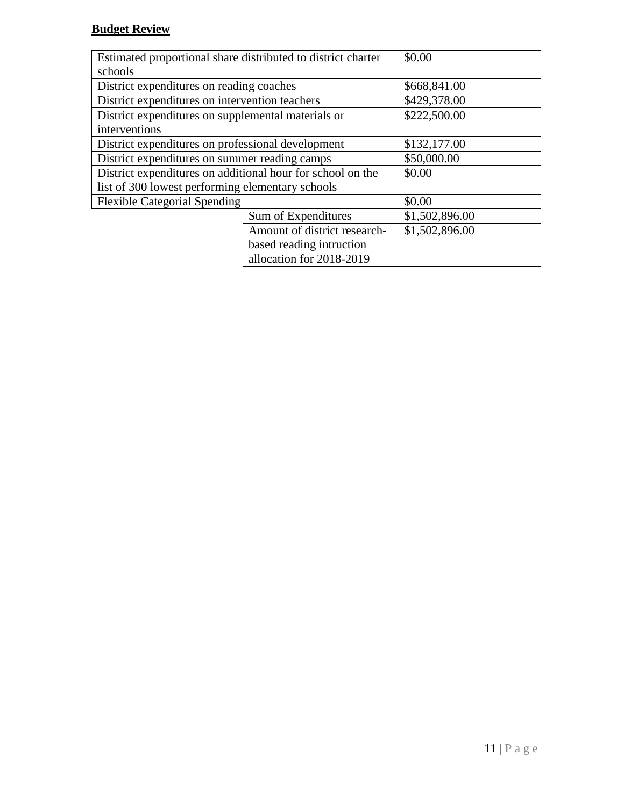# **Budget Review**

| Estimated proportional share distributed to district charter |                          | \$0.00         |
|--------------------------------------------------------------|--------------------------|----------------|
| schools                                                      |                          |                |
| District expenditures on reading coaches                     | \$668,841.00             |                |
| District expenditures on intervention teachers               |                          | \$429,378.00   |
| District expenditures on supplemental materials or           |                          | \$222,500.00   |
| interventions                                                |                          |                |
| District expenditures on professional development            |                          | \$132,177.00   |
| District expenditures on summer reading camps                |                          | \$50,000.00    |
| District expenditures on additional hour for school on the   |                          | \$0.00         |
| list of 300 lowest performing elementary schools             |                          |                |
| <b>Flexible Categorial Spending</b>                          |                          | \$0.00         |
|                                                              | Sum of Expenditures      | \$1,502,896.00 |
| Amount of district research-                                 |                          | \$1,502,896.00 |
|                                                              | based reading intruction |                |
|                                                              | allocation for 2018-2019 |                |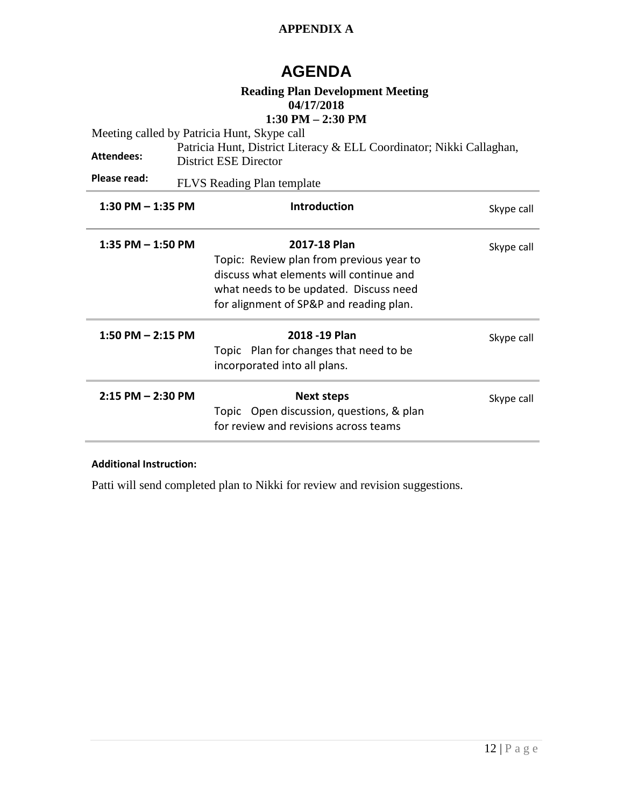# **APPENDIX A**

# **AGENDA**

# **Reading Plan Development Meeting 04/17/2018**

# **1:30 PM – 2:30 PM**

| Meeting called by Patricia Hunt, Skype call |                                                                                                                                                                                          |            |  |  |  |
|---------------------------------------------|------------------------------------------------------------------------------------------------------------------------------------------------------------------------------------------|------------|--|--|--|
| <b>Attendees:</b>                           | Patricia Hunt, District Literacy & ELL Coordinator; Nikki Callaghan,<br>District ESE Director                                                                                            |            |  |  |  |
| Please read:                                | <b>FLVS</b> Reading Plan template                                                                                                                                                        |            |  |  |  |
| $1:30$ PM $-1:35$ PM                        | <b>Introduction</b>                                                                                                                                                                      | Skype call |  |  |  |
| 1:35 PM $-$ 1:50 PM                         | 2017-18 Plan<br>Topic: Review plan from previous year to<br>discuss what elements will continue and<br>what needs to be updated. Discuss need<br>for alignment of SP&P and reading plan. | Skype call |  |  |  |
| 1:50 PM $-$ 2:15 PM                         | 2018 - 19 Plan<br>Topic Plan for changes that need to be<br>incorporated into all plans.                                                                                                 | Skype call |  |  |  |
| $2:15$ PM $- 2:30$ PM                       | <b>Next steps</b><br>Topic Open discussion, questions, & plan<br>for review and revisions across teams                                                                                   | Skype call |  |  |  |

#### **Additional Instruction:**

Patti will send completed plan to Nikki for review and revision suggestions.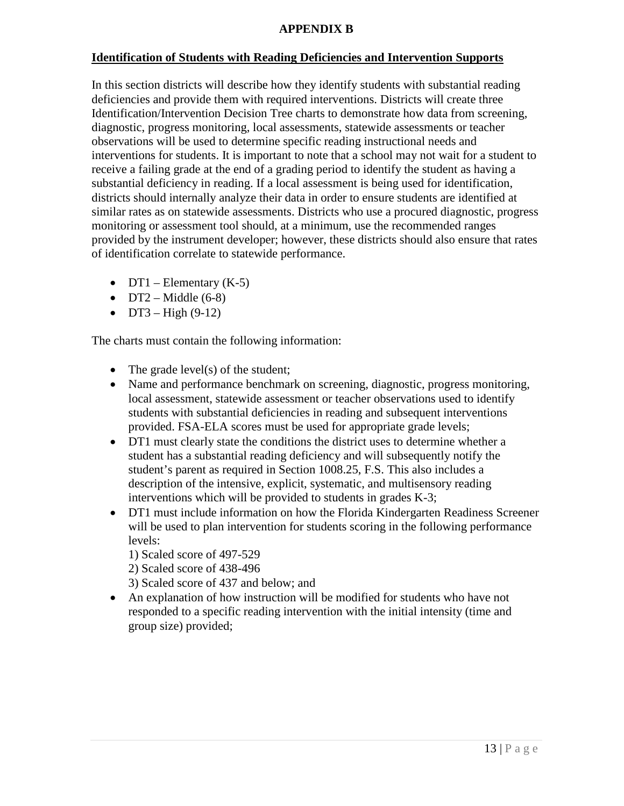#### **APPENDIX B**

# **Identification of Students with Reading Deficiencies and Intervention Supports**

In this section districts will describe how they identify students with substantial reading deficiencies and provide them with required interventions. Districts will create three Identification/Intervention Decision Tree charts to demonstrate how data from screening, diagnostic, progress monitoring, local assessments, statewide assessments or teacher observations will be used to determine specific reading instructional needs and interventions for students. It is important to note that a school may not wait for a student to receive a failing grade at the end of a grading period to identify the student as having a substantial deficiency in reading. If a local assessment is being used for identification, districts should internally analyze their data in order to ensure students are identified at similar rates as on statewide assessments. Districts who use a procured diagnostic, progress monitoring or assessment tool should, at a minimum, use the recommended ranges provided by the instrument developer; however, these districts should also ensure that rates of identification correlate to statewide performance.

- DT1 Elementary  $(K-5)$
- DT2 Middle  $(6-8)$
- $DT3 High (9-12)$

The charts must contain the following information:

- The grade level(s) of the student;
- Name and performance benchmark on screening, diagnostic, progress monitoring, local assessment, statewide assessment or teacher observations used to identify students with substantial deficiencies in reading and subsequent interventions provided. FSA-ELA scores must be used for appropriate grade levels;
- DT1 must clearly state the conditions the district uses to determine whether a student has a substantial reading deficiency and will subsequently notify the student's parent as required in Section 1008.25, F.S. This also includes a description of the intensive, explicit, systematic, and multisensory reading interventions which will be provided to students in grades K-3;
- DT1 must include information on how the Florida Kindergarten Readiness Screener will be used to plan intervention for students scoring in the following performance levels:
	- 1) Scaled score of 497-529
	- 2) Scaled score of 438-496
	- 3) Scaled score of 437 and below; and
- An explanation of how instruction will be modified for students who have not responded to a specific reading intervention with the initial intensity (time and group size) provided;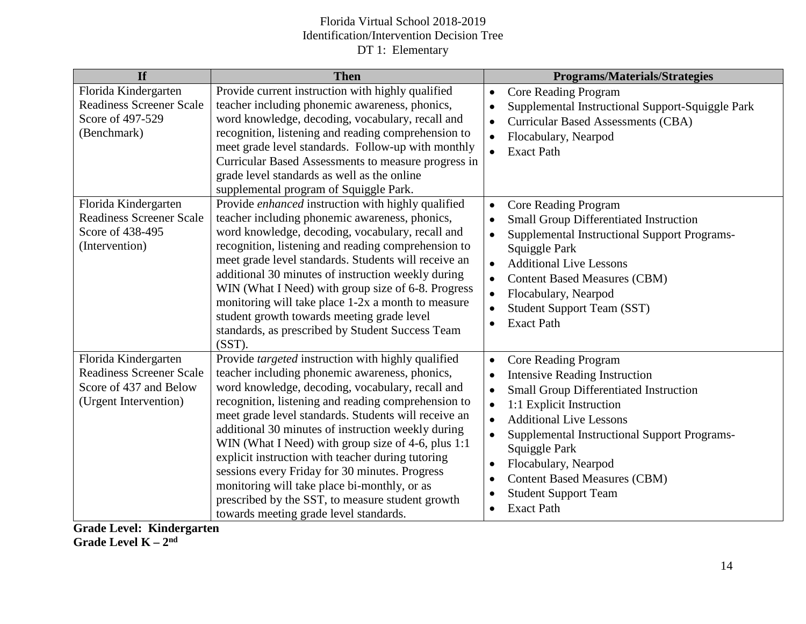| If                                                                                                         | <b>Then</b>                                                                                                                                                                                                                                                                                                                                                                                                                                                                                                                                                                                                                              | <b>Programs/Materials/Strategies</b>                                                                                                                                                                                                                                                                                                                                                                                                                                    |
|------------------------------------------------------------------------------------------------------------|------------------------------------------------------------------------------------------------------------------------------------------------------------------------------------------------------------------------------------------------------------------------------------------------------------------------------------------------------------------------------------------------------------------------------------------------------------------------------------------------------------------------------------------------------------------------------------------------------------------------------------------|-------------------------------------------------------------------------------------------------------------------------------------------------------------------------------------------------------------------------------------------------------------------------------------------------------------------------------------------------------------------------------------------------------------------------------------------------------------------------|
| Florida Kindergarten<br><b>Readiness Screener Scale</b><br>Score of 497-529<br>(Benchmark)                 | Provide current instruction with highly qualified<br>teacher including phonemic awareness, phonics,<br>word knowledge, decoding, vocabulary, recall and<br>recognition, listening and reading comprehension to<br>meet grade level standards. Follow-up with monthly<br>Curricular Based Assessments to measure progress in<br>grade level standards as well as the online<br>supplemental program of Squiggle Park.                                                                                                                                                                                                                     | <b>Core Reading Program</b><br>$\bullet$<br>Supplemental Instructional Support-Squiggle Park<br>$\bullet$<br><b>Curricular Based Assessments (CBA)</b><br>Flocabulary, Nearpod<br>$\bullet$<br><b>Exact Path</b>                                                                                                                                                                                                                                                        |
| Florida Kindergarten<br><b>Readiness Screener Scale</b><br>Score of 438-495<br>(Intervention)              | Provide enhanced instruction with highly qualified<br>teacher including phonemic awareness, phonics,<br>word knowledge, decoding, vocabulary, recall and<br>recognition, listening and reading comprehension to<br>meet grade level standards. Students will receive an<br>additional 30 minutes of instruction weekly during<br>WIN (What I Need) with group size of 6-8. Progress<br>monitoring will take place 1-2x a month to measure<br>student growth towards meeting grade level<br>standards, as prescribed by Student Success Team<br>$(SST)$ .                                                                                 | <b>Core Reading Program</b><br>$\bullet$<br><b>Small Group Differentiated Instruction</b><br><b>Supplemental Instructional Support Programs-</b><br>$\bullet$<br>Squiggle Park<br><b>Additional Live Lessons</b><br><b>Content Based Measures (CBM)</b><br>$\bullet$<br>Flocabulary, Nearpod<br>$\bullet$<br><b>Student Support Team (SST)</b><br>$\bullet$<br><b>Exact Path</b>                                                                                        |
| Florida Kindergarten<br><b>Readiness Screener Scale</b><br>Score of 437 and Below<br>(Urgent Intervention) | Provide targeted instruction with highly qualified<br>teacher including phonemic awareness, phonics,<br>word knowledge, decoding, vocabulary, recall and<br>recognition, listening and reading comprehension to<br>meet grade level standards. Students will receive an<br>additional 30 minutes of instruction weekly during<br>WIN (What I Need) with group size of 4-6, plus 1:1<br>explicit instruction with teacher during tutoring<br>sessions every Friday for 30 minutes. Progress<br>monitoring will take place bi-monthly, or as<br>prescribed by the SST, to measure student growth<br>towards meeting grade level standards. | <b>Core Reading Program</b><br>$\bullet$<br><b>Intensive Reading Instruction</b><br>$\bullet$<br>Small Group Differentiated Instruction<br>$\bullet$<br>1:1 Explicit Instruction<br>$\bullet$<br><b>Additional Live Lessons</b><br>$\bullet$<br>Supplemental Instructional Support Programs-<br>$\bullet$<br>Squiggle Park<br>Flocabulary, Nearpod<br>$\bullet$<br><b>Content Based Measures (CBM)</b><br>$\bullet$<br><b>Student Support Team</b><br><b>Exact Path</b> |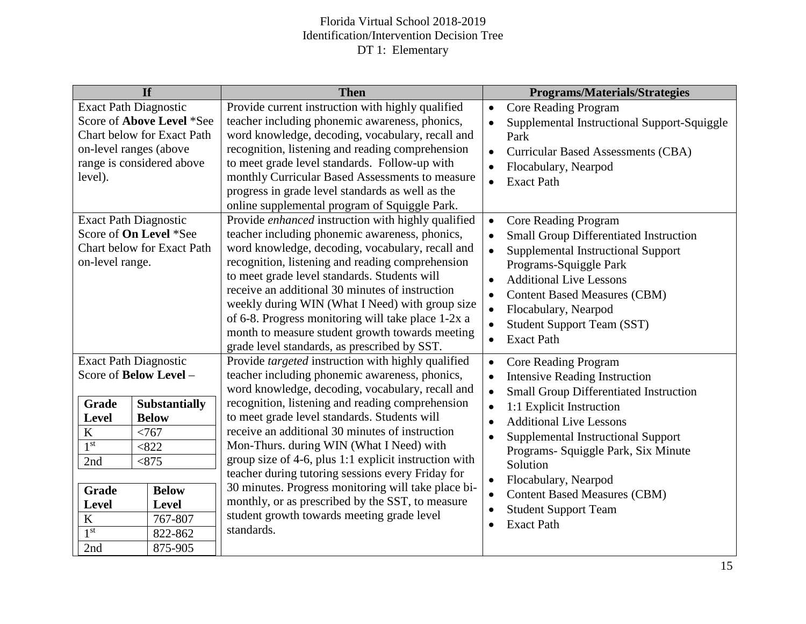|                                                                           | If                                                                                   | <b>Then</b>                                                                                                                                                                                                                                                                                                                                                                                                                                                                                                                 | <b>Programs/Materials/Strategies</b>                                                                                                                                                                                                                                                                                                    |
|---------------------------------------------------------------------------|--------------------------------------------------------------------------------------|-----------------------------------------------------------------------------------------------------------------------------------------------------------------------------------------------------------------------------------------------------------------------------------------------------------------------------------------------------------------------------------------------------------------------------------------------------------------------------------------------------------------------------|-----------------------------------------------------------------------------------------------------------------------------------------------------------------------------------------------------------------------------------------------------------------------------------------------------------------------------------------|
| <b>Exact Path Diagnostic</b><br>on-level ranges (above<br>level).         | Score of Above Level *See<br>Chart below for Exact Path<br>range is considered above | Provide current instruction with highly qualified<br>teacher including phonemic awareness, phonics,<br>word knowledge, decoding, vocabulary, recall and<br>recognition, listening and reading comprehension<br>to meet grade level standards. Follow-up with<br>monthly Curricular Based Assessments to measure<br>progress in grade level standards as well as the<br>online supplemental program of Squiggle Park.                                                                                                        | <b>Core Reading Program</b><br>$\bullet$<br>Supplemental Instructional Support-Squiggle<br>Park<br><b>Curricular Based Assessments (CBA)</b><br>Flocabulary, Nearpod<br><b>Exact Path</b><br>$\bullet$                                                                                                                                  |
| <b>Exact Path Diagnostic</b><br>Score of On Level *See<br>on-level range. | Chart below for Exact Path                                                           | Provide enhanced instruction with highly qualified<br>teacher including phonemic awareness, phonics,<br>word knowledge, decoding, vocabulary, recall and<br>recognition, listening and reading comprehension<br>to meet grade level standards. Students will<br>receive an additional 30 minutes of instruction<br>weekly during WIN (What I Need) with group size<br>of 6-8. Progress monitoring will take place 1-2x a<br>month to measure student growth towards meeting<br>grade level standards, as prescribed by SST. | <b>Core Reading Program</b><br>$\bullet$<br>Small Group Differentiated Instruction<br>Supplemental Instructional Support<br>Programs-Squiggle Park<br><b>Additional Live Lessons</b><br><b>Content Based Measures (CBM)</b><br>$\bullet$<br>Flocabulary, Nearpod<br><b>Student Support Team (SST)</b><br><b>Exact Path</b><br>$\bullet$ |
| <b>Exact Path Diagnostic</b>                                              |                                                                                      | Provide targeted instruction with highly qualified                                                                                                                                                                                                                                                                                                                                                                                                                                                                          | <b>Core Reading Program</b><br>$\bullet$                                                                                                                                                                                                                                                                                                |
| Score of Below Level -                                                    |                                                                                      | teacher including phonemic awareness, phonics,<br>word knowledge, decoding, vocabulary, recall and                                                                                                                                                                                                                                                                                                                                                                                                                          | <b>Intensive Reading Instruction</b><br>Small Group Differentiated Instruction                                                                                                                                                                                                                                                          |
| <b>Grade</b>                                                              | <b>Substantially</b>                                                                 | recognition, listening and reading comprehension                                                                                                                                                                                                                                                                                                                                                                                                                                                                            | 1:1 Explicit Instruction                                                                                                                                                                                                                                                                                                                |
| <b>Level</b>                                                              | <b>Below</b>                                                                         | to meet grade level standards. Students will                                                                                                                                                                                                                                                                                                                                                                                                                                                                                | <b>Additional Live Lessons</b>                                                                                                                                                                                                                                                                                                          |
| $\bf K$                                                                   | < 767                                                                                | receive an additional 30 minutes of instruction                                                                                                                                                                                                                                                                                                                                                                                                                                                                             | Supplemental Instructional Support                                                                                                                                                                                                                                                                                                      |
| 1 <sup>st</sup>                                                           | < 822                                                                                | Mon-Thurs. during WIN (What I Need) with                                                                                                                                                                                                                                                                                                                                                                                                                                                                                    | Programs- Squiggle Park, Six Minute                                                                                                                                                                                                                                                                                                     |
| 2nd                                                                       | < 875                                                                                | group size of 4-6, plus 1:1 explicit instruction with                                                                                                                                                                                                                                                                                                                                                                                                                                                                       | Solution                                                                                                                                                                                                                                                                                                                                |
| <b>Grade</b><br><b>Level</b><br>$\bf K$<br>1 <sup>st</sup><br>2nd         | <b>Below</b><br><b>Level</b><br>767-807<br>822-862<br>875-905                        | teacher during tutoring sessions every Friday for<br>30 minutes. Progress monitoring will take place bi-<br>monthly, or as prescribed by the SST, to measure<br>student growth towards meeting grade level<br>standards.                                                                                                                                                                                                                                                                                                    | Flocabulary, Nearpod<br><b>Content Based Measures (CBM)</b><br><b>Student Support Team</b><br><b>Exact Path</b><br>$\bullet$                                                                                                                                                                                                            |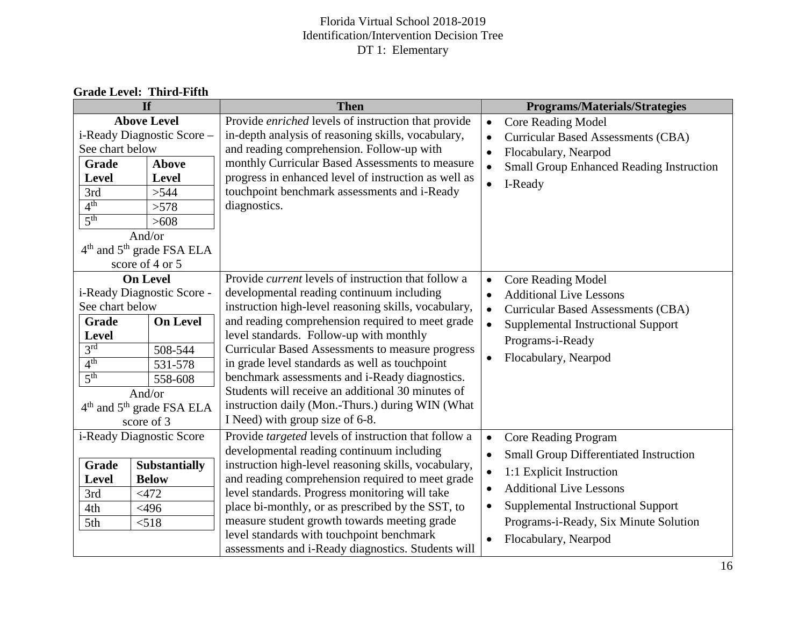| <b>Then</b><br>Provide enriched levels of instruction that provide<br>in-depth analysis of reasoning skills, vocabulary,<br>and reading comprehension. Follow-up with<br>monthly Curricular Based Assessments to measure<br>progress in enhanced level of instruction as well as                                                                                                                                                                                                                                                                                          | <b>Programs/Materials/Strategies</b><br>Core Reading Model<br>$\bullet$<br><b>Curricular Based Assessments (CBA)</b><br>$\bullet$<br>Flocabulary, Nearpod<br>$\bullet$<br><b>Small Group Enhanced Reading Instruction</b>                                                                      |
|---------------------------------------------------------------------------------------------------------------------------------------------------------------------------------------------------------------------------------------------------------------------------------------------------------------------------------------------------------------------------------------------------------------------------------------------------------------------------------------------------------------------------------------------------------------------------|------------------------------------------------------------------------------------------------------------------------------------------------------------------------------------------------------------------------------------------------------------------------------------------------|
|                                                                                                                                                                                                                                                                                                                                                                                                                                                                                                                                                                           |                                                                                                                                                                                                                                                                                                |
| diagnostics.                                                                                                                                                                                                                                                                                                                                                                                                                                                                                                                                                              | I-Ready<br>$\bullet$                                                                                                                                                                                                                                                                           |
|                                                                                                                                                                                                                                                                                                                                                                                                                                                                                                                                                                           |                                                                                                                                                                                                                                                                                                |
| Provide <i>current</i> levels of instruction that follow a<br>developmental reading continuum including<br>instruction high-level reasoning skills, vocabulary,<br>and reading comprehension required to meet grade<br>level standards. Follow-up with monthly<br><b>Curricular Based Assessments to measure progress</b><br>in grade level standards as well as touchpoint<br>benchmark assessments and i-Ready diagnostics.<br>Students will receive an additional 30 minutes of<br>instruction daily (Mon.-Thurs.) during WIN (What<br>I Need) with group size of 6-8. | <b>Core Reading Model</b><br>$\bullet$<br><b>Additional Live Lessons</b><br>$\bullet$<br><b>Curricular Based Assessments (CBA)</b><br>$\bullet$<br>Supplemental Instructional Support<br>Programs-i-Ready<br>Flocabulary, Nearpod<br>$\bullet$                                                 |
| developmental reading continuum including<br>instruction high-level reasoning skills, vocabulary,<br>and reading comprehension required to meet grade<br>level standards. Progress monitoring will take<br>place bi-monthly, or as prescribed by the SST, to<br>measure student growth towards meeting grade<br>level standards with touchpoint benchmark                                                                                                                                                                                                                 | Core Reading Program<br>$\bullet$<br><b>Small Group Differentiated Instruction</b><br>$\bullet$<br>1:1 Explicit Instruction<br>$\bullet$<br><b>Additional Live Lessons</b><br>Supplemental Instructional Support<br>Programs-i-Ready, Six Minute Solution<br>Flocabulary, Nearpod<br>$\bullet$ |
|                                                                                                                                                                                                                                                                                                                                                                                                                                                                                                                                                                           | touchpoint benchmark assessments and i-Ready<br>Provide targeted levels of instruction that follow a<br>assessments and i-Ready diagnostics. Students will                                                                                                                                     |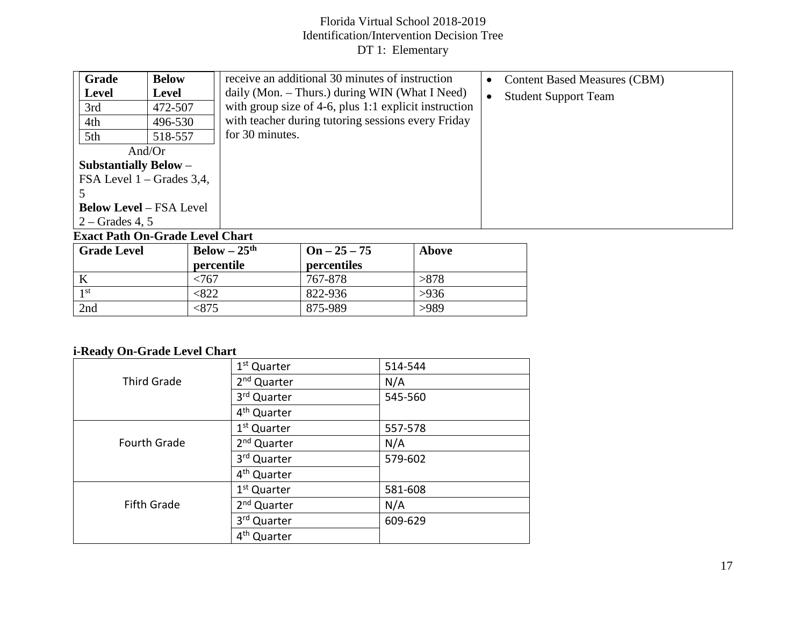| Grade                          | <b>Below</b> | receive an additional 30 minutes of instruction       | <b>Content Based Measures (CBM)</b><br>$\bullet$ |
|--------------------------------|--------------|-------------------------------------------------------|--------------------------------------------------|
| <b>Level</b>                   | <b>Level</b> | daily (Mon. $-$ Thurs.) during WIN (What I Need)      | <b>Student Support Team</b><br>$\bullet$         |
| 3rd                            | 472-507      | with group size of 4-6, plus 1:1 explicit instruction |                                                  |
| 4th                            | 496-530      | with teacher during tutoring sessions every Friday    |                                                  |
| 5th                            | 518-557      | for 30 minutes.                                       |                                                  |
|                                | And/ $Or$    |                                                       |                                                  |
| <b>Substantially Below -</b>   |              |                                                       |                                                  |
| FSA Level $1 -$ Grades 3,4,    |              |                                                       |                                                  |
|                                |              |                                                       |                                                  |
| <b>Below Level – FSA Level</b> |              |                                                       |                                                  |
| $2 -$ Grades 4, 5              |              |                                                       |                                                  |

#### **Exact Path On-Grade Level Chart**

| <b>Grade Level</b> | $Below - 25th$ | $On - 25 - 75$ | <b>Above</b> |
|--------------------|----------------|----------------|--------------|
|                    | percentile     | percentiles    |              |
|                    | 767            | 767-878        | >878         |
| 1 st               | $322$          | 822-936        | >936         |
| 2nd                | < 875          | 875-989        | >989         |

# **i-Ready On-Grade Level Chart**

|                     | 1 <sup>st</sup> Quarter | 514-544 |
|---------------------|-------------------------|---------|
| <b>Third Grade</b>  | 2 <sup>nd</sup> Quarter | N/A     |
|                     | 3rd Quarter             | 545-560 |
|                     | 4 <sup>th</sup> Quarter |         |
|                     | 1 <sup>st</sup> Quarter | 557-578 |
| <b>Fourth Grade</b> | 2 <sup>nd</sup> Quarter | N/A     |
|                     | 3rd Quarter             | 579-602 |
|                     | 4 <sup>th</sup> Quarter |         |
|                     | 1 <sup>st</sup> Quarter | 581-608 |
| <b>Fifth Grade</b>  | 2 <sup>nd</sup> Quarter | N/A     |
|                     | 3rd Quarter             | 609-629 |
|                     | 4 <sup>th</sup> Quarter |         |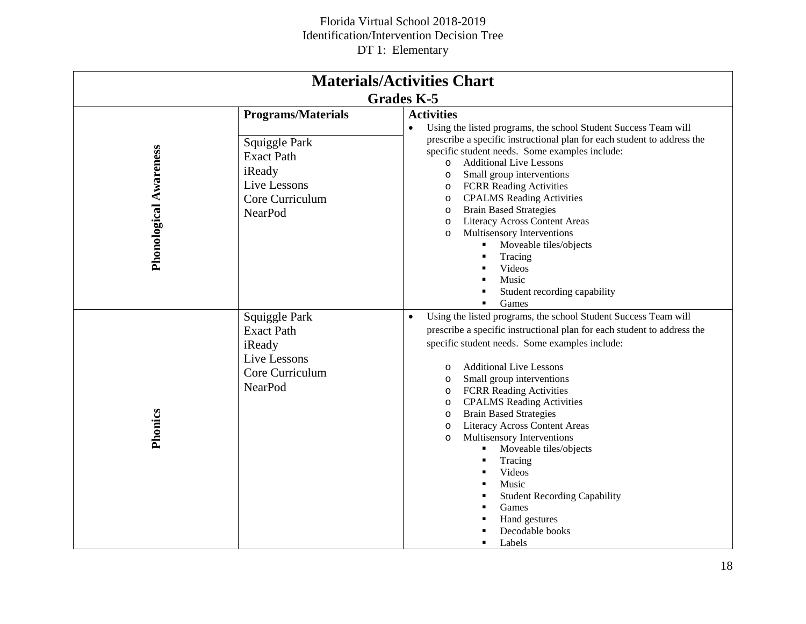| <b>Materials/Activities Chart</b> |                                                                                                                                |                                                                                                                                                                                                                                                                                                                                                                                                                                                                                                                                                                                                                                                                                                      |  |  |
|-----------------------------------|--------------------------------------------------------------------------------------------------------------------------------|------------------------------------------------------------------------------------------------------------------------------------------------------------------------------------------------------------------------------------------------------------------------------------------------------------------------------------------------------------------------------------------------------------------------------------------------------------------------------------------------------------------------------------------------------------------------------------------------------------------------------------------------------------------------------------------------------|--|--|
|                                   |                                                                                                                                | <b>Grades K-5</b>                                                                                                                                                                                                                                                                                                                                                                                                                                                                                                                                                                                                                                                                                    |  |  |
| <b>Phonological Awareness</b>     | <b>Programs/Materials</b><br>Squiggle Park<br><b>Exact Path</b><br>iReady<br>Live Lessons<br>Core Curriculum<br><b>NearPod</b> | <b>Activities</b><br>Using the listed programs, the school Student Success Team will<br>$\bullet$<br>prescribe a specific instructional plan for each student to address the<br>specific student needs. Some examples include:<br><b>Additional Live Lessons</b><br>$\circ$<br>Small group interventions<br>$\circ$<br><b>FCRR Reading Activities</b><br>$\circ$<br><b>CPALMS</b> Reading Activities<br>O<br><b>Brain Based Strategies</b><br>O<br><b>Literacy Across Content Areas</b><br>$\circ$<br>Multisensory Interventions<br>$\circ$<br>Moveable tiles/objects<br>٠<br>Tracing<br>п<br>Videos<br>Music<br>Student recording capability<br>Games<br>$\blacksquare$                             |  |  |
| Phonics                           | Squiggle Park<br><b>Exact Path</b><br>iReady<br>Live Lessons<br>Core Curriculum<br><b>NearPod</b>                              | Using the listed programs, the school Student Success Team will<br>$\bullet$<br>prescribe a specific instructional plan for each student to address the<br>specific student needs. Some examples include:<br><b>Additional Live Lessons</b><br>$\circ$<br>Small group interventions<br>$\circ$<br><b>FCRR Reading Activities</b><br>O<br><b>CPALMS</b> Reading Activities<br>$\circ$<br><b>Brain Based Strategies</b><br>$\circ$<br><b>Literacy Across Content Areas</b><br>$\circ$<br>Multisensory Interventions<br>$\circ$<br>Moveable tiles/objects<br>Tracing<br>Videos<br>Music<br>$\blacksquare$<br><b>Student Recording Capability</b><br>Games<br>Hand gestures<br>Decodable books<br>Labels |  |  |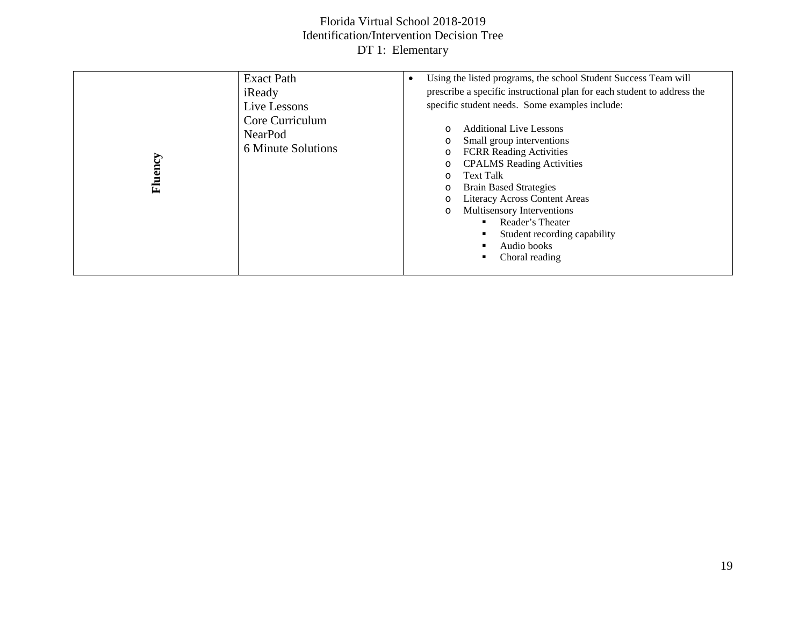| <b>Exact Path</b><br>iReady<br>Live Lessons<br>Core Curriculum<br><b>NearPod</b><br>6 Minute Solutions<br>Fluency | Using the listed programs, the school Student Success Team will<br>prescribe a specific instructional plan for each student to address the<br>specific student needs. Some examples include:<br><b>Additional Live Lessons</b><br>$\circ$<br>Small group interventions<br>O<br><b>FCRR</b> Reading Activities<br>$\circ$<br><b>CPALMS</b> Reading Activities<br>O<br><b>Text Talk</b><br>O<br><b>Brain Based Strategies</b><br>O<br><b>Literacy Across Content Areas</b><br>$\circ$<br>Multisensory Interventions<br>O<br>Reader's Theater<br>٠<br>Student recording capability<br>٠<br>Audio books<br>Choral reading |
|-------------------------------------------------------------------------------------------------------------------|-----------------------------------------------------------------------------------------------------------------------------------------------------------------------------------------------------------------------------------------------------------------------------------------------------------------------------------------------------------------------------------------------------------------------------------------------------------------------------------------------------------------------------------------------------------------------------------------------------------------------|
|-------------------------------------------------------------------------------------------------------------------|-----------------------------------------------------------------------------------------------------------------------------------------------------------------------------------------------------------------------------------------------------------------------------------------------------------------------------------------------------------------------------------------------------------------------------------------------------------------------------------------------------------------------------------------------------------------------------------------------------------------------|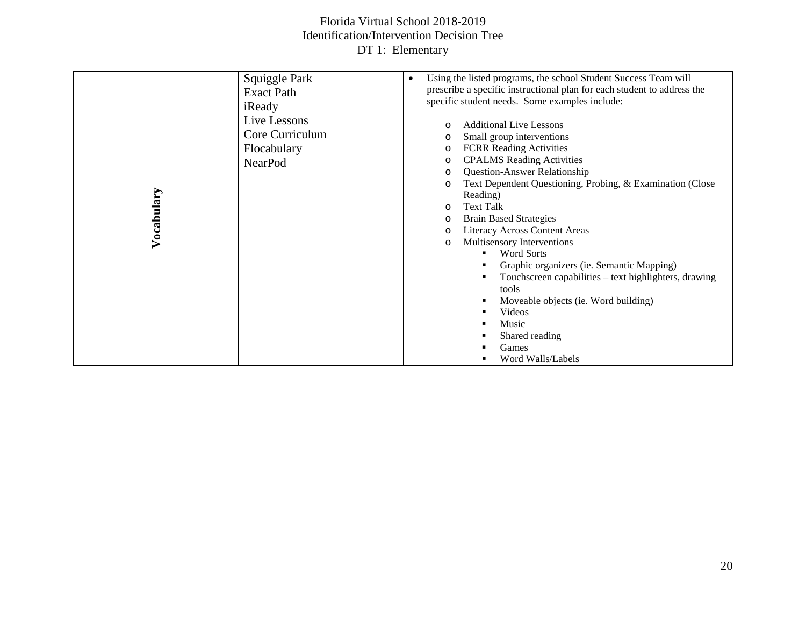| Squiggle Park     | Using the listed programs, the school Student Success Team will<br>$\bullet$ |
|-------------------|------------------------------------------------------------------------------|
| <b>Exact Path</b> | prescribe a specific instructional plan for each student to address the      |
| iReady            | specific student needs. Some examples include:                               |
| Live Lessons      | Additional Live Lessons<br>$\circ$                                           |
| Core Curriculum   | Small group interventions<br>O                                               |
| Flocabulary       | <b>FCRR</b> Reading Activities<br>O                                          |
| <b>NearPod</b>    | <b>CPALMS</b> Reading Activities<br>$\circ$                                  |
|                   | <b>Question-Answer Relationship</b><br>O                                     |
|                   | Text Dependent Questioning, Probing, & Examination (Close<br>$\circ$         |
| Vocabulary        | Reading)                                                                     |
|                   | <b>Text Talk</b><br>$\circ$                                                  |
|                   | <b>Brain Based Strategies</b><br>$\circ$                                     |
|                   | <b>Literacy Across Content Areas</b><br>$\circ$                              |
|                   | Multisensory Interventions<br>$\circ$                                        |
|                   | <b>Word Sorts</b><br>٠<br>٠                                                  |
|                   | Graphic organizers (ie. Semantic Mapping)                                    |
|                   | Touchscreen capabilities – text highlighters, drawing<br>tools               |
|                   | Moveable objects (ie. Word building)<br>п                                    |
|                   | Videos                                                                       |
|                   | Music                                                                        |
|                   | Shared reading                                                               |
|                   | Games                                                                        |
|                   | Word Walls/Labels                                                            |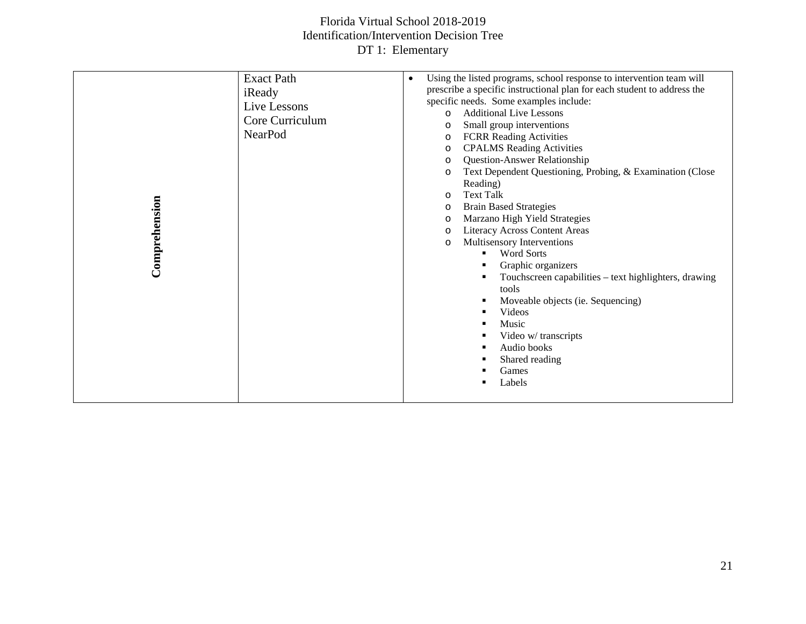| Comprehension | <b>Exact Path</b><br>iReady<br>Live Lessons<br>Core Curriculum<br>NearPod | Using the listed programs, school response to intervention team will<br>$\bullet$<br>prescribe a specific instructional plan for each student to address the<br>specific needs. Some examples include:<br><b>Additional Live Lessons</b><br>$\Omega$<br>Small group interventions<br>$\circ$<br><b>FCRR Reading Activities</b><br>$\circ$<br><b>CPALMS</b> Reading Activities<br>$\circ$<br><b>Question-Answer Relationship</b><br>$\circ$<br>Text Dependent Questioning, Probing, & Examination (Close<br>$\circ$<br>Reading)<br><b>Text Talk</b><br>$\circ$<br><b>Brain Based Strategies</b><br>$\circ$<br>Marzano High Yield Strategies<br>$\circ$<br><b>Literacy Across Content Areas</b><br>$\circ$<br>Multisensory Interventions<br>$\circ$<br><b>Word Sorts</b><br>٠.<br>Graphic organizers<br>л<br>Touchscreen capabilities – text highlighters, drawing<br>tools<br>Moveable objects (ie. Sequencing)<br>л<br>Videos<br>п<br>Music<br>Video w/ transcripts<br>Audio books<br>٠<br>Shared reading<br>Games<br>Labels |
|---------------|---------------------------------------------------------------------------|------------------------------------------------------------------------------------------------------------------------------------------------------------------------------------------------------------------------------------------------------------------------------------------------------------------------------------------------------------------------------------------------------------------------------------------------------------------------------------------------------------------------------------------------------------------------------------------------------------------------------------------------------------------------------------------------------------------------------------------------------------------------------------------------------------------------------------------------------------------------------------------------------------------------------------------------------------------------------------------------------------------------------|
|               |                                                                           |                                                                                                                                                                                                                                                                                                                                                                                                                                                                                                                                                                                                                                                                                                                                                                                                                                                                                                                                                                                                                              |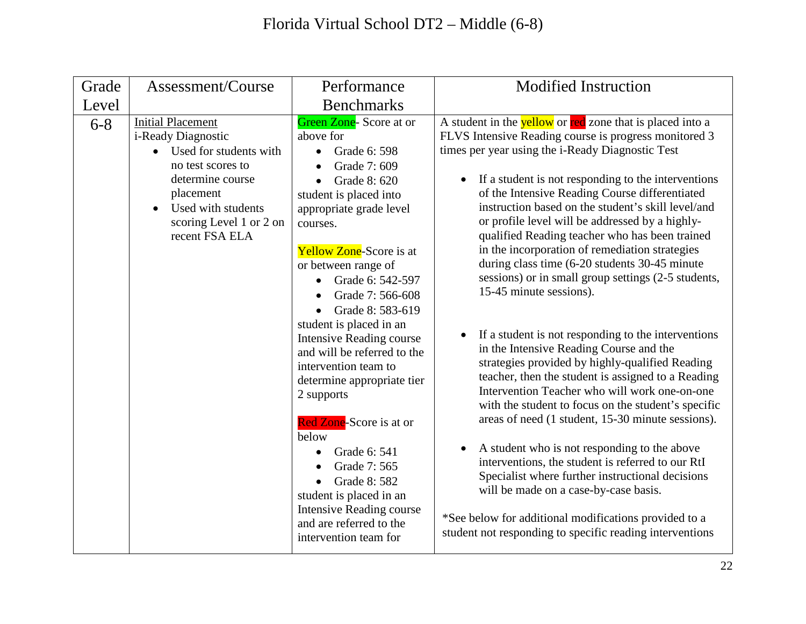| Grade   | Assessment/Course                                                                                                                                                                                              | Performance                                                                                                                                                                                                                                                                                                                                                                                                                                                                                                                                                                                                                                                                       | <b>Modified Instruction</b>                                                                                                                                                                                                                                                                                                                                                                                                                                                                                                                                                                                                                                                                                                                                                                                                                                                                                                                                                                                                                                                                                                                                                                                                                                                                                                                                            |
|---------|----------------------------------------------------------------------------------------------------------------------------------------------------------------------------------------------------------------|-----------------------------------------------------------------------------------------------------------------------------------------------------------------------------------------------------------------------------------------------------------------------------------------------------------------------------------------------------------------------------------------------------------------------------------------------------------------------------------------------------------------------------------------------------------------------------------------------------------------------------------------------------------------------------------|------------------------------------------------------------------------------------------------------------------------------------------------------------------------------------------------------------------------------------------------------------------------------------------------------------------------------------------------------------------------------------------------------------------------------------------------------------------------------------------------------------------------------------------------------------------------------------------------------------------------------------------------------------------------------------------------------------------------------------------------------------------------------------------------------------------------------------------------------------------------------------------------------------------------------------------------------------------------------------------------------------------------------------------------------------------------------------------------------------------------------------------------------------------------------------------------------------------------------------------------------------------------------------------------------------------------------------------------------------------------|
| Level   |                                                                                                                                                                                                                | <b>Benchmarks</b>                                                                                                                                                                                                                                                                                                                                                                                                                                                                                                                                                                                                                                                                 |                                                                                                                                                                                                                                                                                                                                                                                                                                                                                                                                                                                                                                                                                                                                                                                                                                                                                                                                                                                                                                                                                                                                                                                                                                                                                                                                                                        |
| $6 - 8$ | <b>Initial Placement</b><br>i-Ready Diagnostic<br>Used for students with<br>$\bullet$<br>no test scores to<br>determine course<br>placement<br>Used with students<br>scoring Level 1 or 2 on<br>recent FSA ELA | Green Zone-Score at or<br>above for<br>Grade 6: 598<br>$\bullet$<br>Grade 7: 609<br>Grade 8: 620<br>$\bullet$<br>student is placed into<br>appropriate grade level<br>courses.<br><b>Yellow Zone-Score is at</b><br>or between range of<br>Grade 6: 542-597<br>Grade 7: 566-608<br>Grade 8: 583-619<br>student is placed in an<br><b>Intensive Reading course</b><br>and will be referred to the<br>intervention team to<br>determine appropriate tier<br>2 supports<br><b>Red Zone-Score</b> is at or<br>below<br>Grade 6: 541<br>Grade 7: 565<br>Grade 8: 582<br>student is placed in an<br><b>Intensive Reading course</b><br>and are referred to the<br>intervention team for | A student in the <b>yellow</b> or <b>red</b> zone that is placed into a<br>FLVS Intensive Reading course is progress monitored 3<br>times per year using the i-Ready Diagnostic Test<br>If a student is not responding to the interventions<br>of the Intensive Reading Course differentiated<br>instruction based on the student's skill level/and<br>or profile level will be addressed by a highly-<br>qualified Reading teacher who has been trained<br>in the incorporation of remediation strategies<br>during class time (6-20 students 30-45 minute<br>sessions) or in small group settings (2-5 students,<br>15-45 minute sessions).<br>If a student is not responding to the interventions<br>$\bullet$<br>in the Intensive Reading Course and the<br>strategies provided by highly-qualified Reading<br>teacher, then the student is assigned to a Reading<br>Intervention Teacher who will work one-on-one<br>with the student to focus on the student's specific<br>areas of need (1 student, 15-30 minute sessions).<br>A student who is not responding to the above<br>$\bullet$<br>interventions, the student is referred to our RtI<br>Specialist where further instructional decisions<br>will be made on a case-by-case basis.<br>*See below for additional modifications provided to a<br>student not responding to specific reading interventions |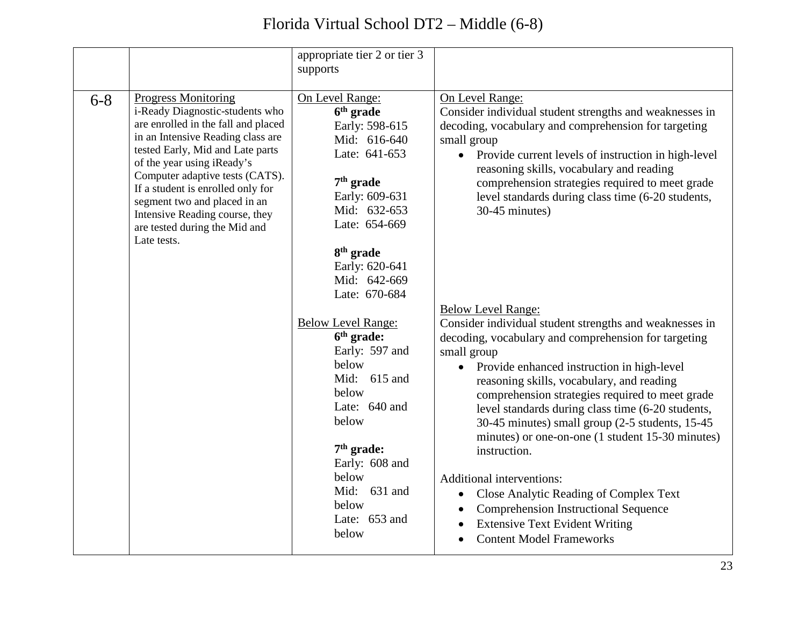|         |                                                                                                                                                                                                                                                                                                                                                                                                       | appropriate tier 2 or tier 3<br>supports                                                                                                                                                                                                  |                                                                                                                                                                                                                                                                                                                                                                                                                                                                                                                                                                                                                                                                                                      |
|---------|-------------------------------------------------------------------------------------------------------------------------------------------------------------------------------------------------------------------------------------------------------------------------------------------------------------------------------------------------------------------------------------------------------|-------------------------------------------------------------------------------------------------------------------------------------------------------------------------------------------------------------------------------------------|------------------------------------------------------------------------------------------------------------------------------------------------------------------------------------------------------------------------------------------------------------------------------------------------------------------------------------------------------------------------------------------------------------------------------------------------------------------------------------------------------------------------------------------------------------------------------------------------------------------------------------------------------------------------------------------------------|
| $6 - 8$ | <b>Progress Monitoring</b><br>i-Ready Diagnostic-students who<br>are enrolled in the fall and placed<br>in an Intensive Reading class are<br>tested Early, Mid and Late parts<br>of the year using iReady's<br>Computer adaptive tests (CATS).<br>If a student is enrolled only for<br>segment two and placed in an<br>Intensive Reading course, they<br>are tested during the Mid and<br>Late tests. | On Level Range:<br>6 <sup>th</sup> grade<br>Early: 598-615<br>Mid: 616-640<br>Late: 641-653<br>$7th$ grade<br>Early: 609-631<br>Mid: 632-653<br>Late: 654-669<br>8 <sup>th</sup> grade<br>Early: 620-641<br>Mid: 642-669<br>Late: 670-684 | On Level Range:<br>Consider individual student strengths and weaknesses in<br>decoding, vocabulary and comprehension for targeting<br>small group<br>Provide current levels of instruction in high-level<br>$\bullet$<br>reasoning skills, vocabulary and reading<br>comprehension strategies required to meet grade<br>level standards during class time (6-20 students,<br>30-45 minutes)                                                                                                                                                                                                                                                                                                          |
|         |                                                                                                                                                                                                                                                                                                                                                                                                       | <b>Below Level Range:</b><br>6 <sup>th</sup> grade:<br>Early: 597 and<br>below<br>Mid: 615 and<br>below<br>Late: 640 and<br>below<br>$7th$ grade:<br>Early: 608 and<br>below<br>Mid:<br>631 and<br>below<br>Late: 653 and<br>below        | <b>Below Level Range:</b><br>Consider individual student strengths and weaknesses in<br>decoding, vocabulary and comprehension for targeting<br>small group<br>Provide enhanced instruction in high-level<br>$\bullet$<br>reasoning skills, vocabulary, and reading<br>comprehension strategies required to meet grade<br>level standards during class time (6-20 students,<br>30-45 minutes) small group (2-5 students, 15-45<br>minutes) or one-on-one (1 student 15-30 minutes)<br>instruction.<br>Additional interventions:<br>Close Analytic Reading of Complex Text<br><b>Comprehension Instructional Sequence</b><br><b>Extensive Text Evident Writing</b><br><b>Content Model Frameworks</b> |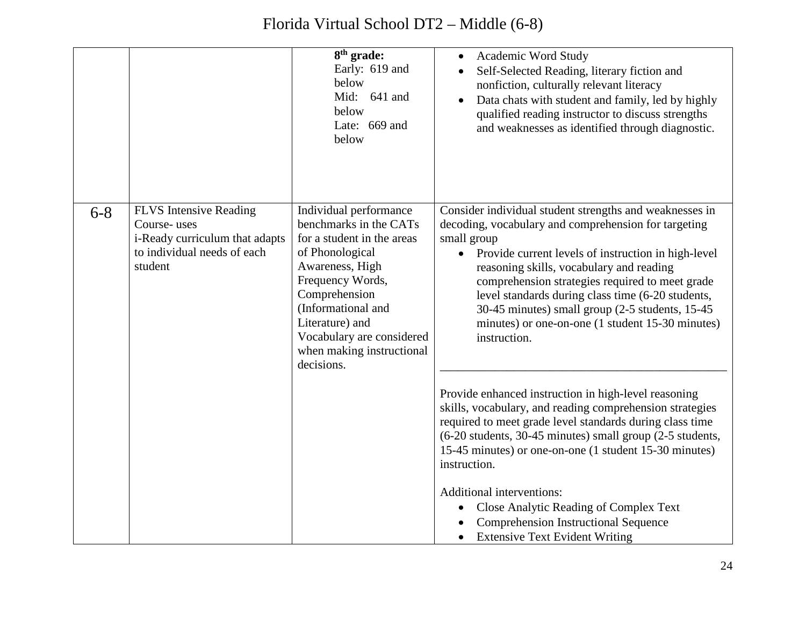|         |                                                                                                                          | 8 <sup>th</sup> grade:<br>Early: 619 and<br>below<br>Mid: 641 and<br>below<br>Late: 669 and<br>below                                                                                                                                                                       | Academic Word Study<br>Self-Selected Reading, literary fiction and<br>nonfiction, culturally relevant literacy<br>Data chats with student and family, led by highly<br>qualified reading instructor to discuss strengths<br>and weaknesses as identified through diagnostic.                                                                                                                                                                                                       |
|---------|--------------------------------------------------------------------------------------------------------------------------|----------------------------------------------------------------------------------------------------------------------------------------------------------------------------------------------------------------------------------------------------------------------------|------------------------------------------------------------------------------------------------------------------------------------------------------------------------------------------------------------------------------------------------------------------------------------------------------------------------------------------------------------------------------------------------------------------------------------------------------------------------------------|
| $6 - 8$ | <b>FLVS</b> Intensive Reading<br>Course-uses<br>i-Ready curriculum that adapts<br>to individual needs of each<br>student | Individual performance<br>benchmarks in the CATs<br>for a student in the areas<br>of Phonological<br>Awareness, High<br>Frequency Words,<br>Comprehension<br>(Informational and<br>Literature) and<br>Vocabulary are considered<br>when making instructional<br>decisions. | Consider individual student strengths and weaknesses in<br>decoding, vocabulary and comprehension for targeting<br>small group<br>Provide current levels of instruction in high-level<br>reasoning skills, vocabulary and reading<br>comprehension strategies required to meet grade<br>level standards during class time (6-20 students,<br>30-45 minutes) small group (2-5 students, 15-45<br>minutes) or one-on-one (1 student 15-30 minutes)<br>instruction.                   |
|         |                                                                                                                          |                                                                                                                                                                                                                                                                            | Provide enhanced instruction in high-level reasoning<br>skills, vocabulary, and reading comprehension strategies<br>required to meet grade level standards during class time<br>(6-20 students, 30-45 minutes) small group (2-5 students,<br>15-45 minutes) or one-on-one (1 student 15-30 minutes)<br>instruction.<br>Additional interventions:<br>Close Analytic Reading of Complex Text<br><b>Comprehension Instructional Sequence</b><br><b>Extensive Text Evident Writing</b> |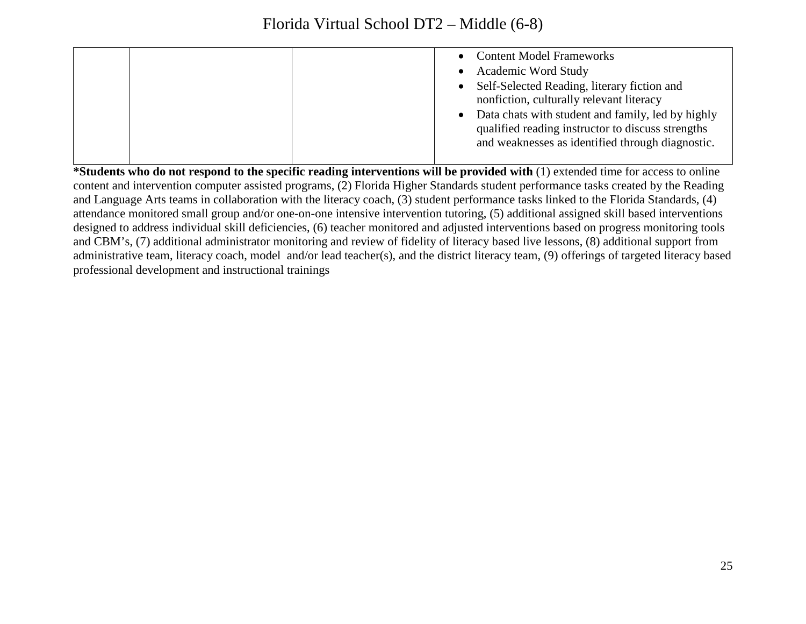|  | <b>Content Model Frameworks</b><br><b>Academic Word Study</b><br>• Self-Selected Reading, literary fiction and<br>nonfiction, culturally relevant literacy<br>• Data chats with student and family, led by highly<br>qualified reading instructor to discuss strengths<br>and weaknesses as identified through diagnostic. |
|--|----------------------------------------------------------------------------------------------------------------------------------------------------------------------------------------------------------------------------------------------------------------------------------------------------------------------------|
|--|----------------------------------------------------------------------------------------------------------------------------------------------------------------------------------------------------------------------------------------------------------------------------------------------------------------------------|

**\*Students who do not respond to the specific reading interventions will be provided with** (1) extended time for access to online content and intervention computer assisted programs, (2) Florida Higher Standards student performance tasks created by the Reading and Language Arts teams in collaboration with the literacy coach, (3) student performance tasks linked to the Florida Standards, (4) attendance monitored small group and/or one-on-one intensive intervention tutoring, (5) additional assigned skill based interventions designed to address individual skill deficiencies, (6) teacher monitored and adjusted interventions based on progress monitoring tools and CBM's, (7) additional administrator monitoring and review of fidelity of literacy based live lessons, (8) additional support from administrative team, literacy coach, model and/or lead teacher(s), and the district literacy team, (9) offerings of targeted literacy based professional development and instructional trainings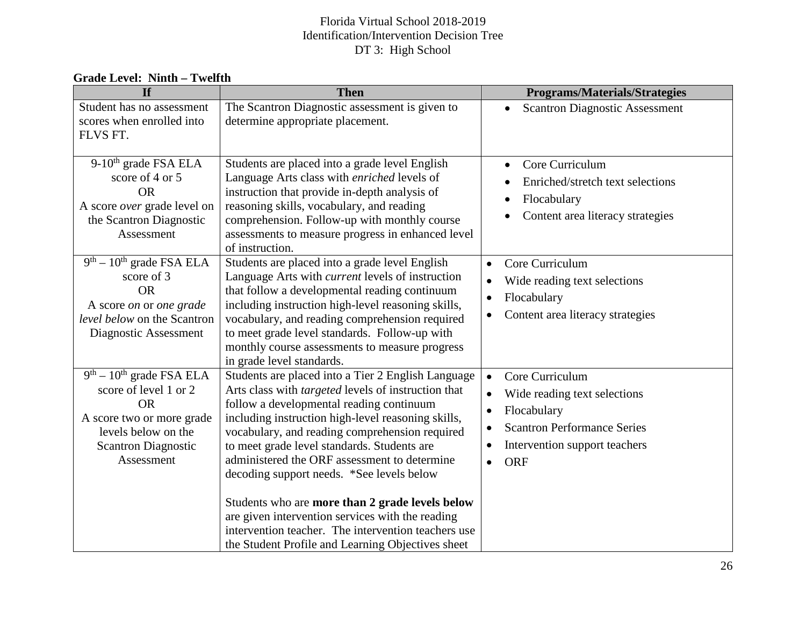| <b>Grade Level: Ninth – Twelfth</b> |  |  |
|-------------------------------------|--|--|
|-------------------------------------|--|--|

| <b>If</b>                                                                                                                                                        | <b>Then</b>                                                                                                                                                                                                                                                                                                                                                                                                      | <b>Programs/Materials/Strategies</b>                                                                                                                                                                    |
|------------------------------------------------------------------------------------------------------------------------------------------------------------------|------------------------------------------------------------------------------------------------------------------------------------------------------------------------------------------------------------------------------------------------------------------------------------------------------------------------------------------------------------------------------------------------------------------|---------------------------------------------------------------------------------------------------------------------------------------------------------------------------------------------------------|
| Student has no assessment                                                                                                                                        | The Scantron Diagnostic assessment is given to                                                                                                                                                                                                                                                                                                                                                                   | <b>Scantron Diagnostic Assessment</b><br>$\bullet$                                                                                                                                                      |
| scores when enrolled into                                                                                                                                        | determine appropriate placement.                                                                                                                                                                                                                                                                                                                                                                                 |                                                                                                                                                                                                         |
| FLVS FT.                                                                                                                                                         |                                                                                                                                                                                                                                                                                                                                                                                                                  |                                                                                                                                                                                                         |
| 9-10 <sup>th</sup> grade FSA ELA<br>score of 4 or 5                                                                                                              | Students are placed into a grade level English<br>Language Arts class with enriched levels of                                                                                                                                                                                                                                                                                                                    | Core Curriculum<br>Enriched/stretch text selections                                                                                                                                                     |
| <b>OR</b><br>A score over grade level on<br>the Scantron Diagnostic<br>Assessment                                                                                | instruction that provide in-depth analysis of<br>reasoning skills, vocabulary, and reading<br>comprehension. Follow-up with monthly course<br>assessments to measure progress in enhanced level<br>of instruction.                                                                                                                                                                                               | Flocabulary<br>$\bullet$<br>Content area literacy strategies                                                                                                                                            |
| $9th - 10th$ grade FSA ELA<br>score of 3<br><b>OR</b><br>A score on or one grade<br>level below on the Scantron<br>Diagnostic Assessment                         | Students are placed into a grade level English<br>Language Arts with <i>current</i> levels of instruction<br>that follow a developmental reading continuum<br>including instruction high-level reasoning skills,<br>vocabulary, and reading comprehension required<br>to meet grade level standards. Follow-up with<br>monthly course assessments to measure progress<br>in grade level standards.               | Core Curriculum<br>$\bullet$<br>Wide reading text selections<br>Flocabulary<br>Content area literacy strategies                                                                                         |
| $9th - 10th$ grade FSA ELA<br>score of level 1 or 2<br><b>OR</b><br>A score two or more grade<br>levels below on the<br><b>Scantron Diagnostic</b><br>Assessment | Students are placed into a Tier 2 English Language<br>Arts class with <i>targeted</i> levels of instruction that<br>follow a developmental reading continuum<br>including instruction high-level reasoning skills,<br>vocabulary, and reading comprehension required<br>to meet grade level standards. Students are<br>administered the ORF assessment to determine<br>decoding support needs. *See levels below | Core Curriculum<br>$\bullet$<br>Wide reading text selections<br>$\bullet$<br>Flocabulary<br>$\bullet$<br><b>Scantron Performance Series</b><br>Intervention support teachers<br><b>ORF</b><br>$\bullet$ |
|                                                                                                                                                                  | Students who are more than 2 grade levels below<br>are given intervention services with the reading<br>intervention teacher. The intervention teachers use<br>the Student Profile and Learning Objectives sheet                                                                                                                                                                                                  |                                                                                                                                                                                                         |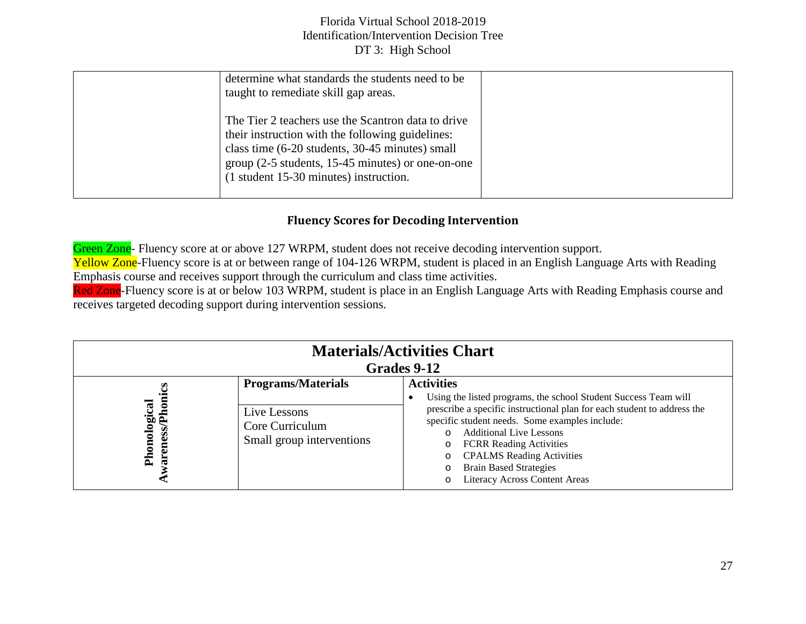| determine what standards the students need to be<br>taught to remediate skill gap areas.                                                                                                                                                                   |  |
|------------------------------------------------------------------------------------------------------------------------------------------------------------------------------------------------------------------------------------------------------------|--|
| The Tier 2 teachers use the Scantron data to drive<br>their instruction with the following guidelines:<br>class time (6-20 students, 30-45 minutes) small<br>group $(2-5$ students, 15-45 minutes) or one-on-one<br>(1 student 15-30 minutes) instruction. |  |

# **Fluency Scores for Decoding Intervention**

Green Zone- Fluency score at or above 127 WRPM, student does not receive decoding intervention support. Yellow Zone-Fluency score is at or between range of 104-126 WRPM, student is placed in an English Language Arts with Reading Emphasis course and receives support through the curriculum and class time activities. Red Zone-Fluency score is at or below 103 WRPM, student is place in an English Language Arts with Reading Emphasis course and

receives targeted decoding support during intervention sessions.

| <b>Materials/Activities Chart</b><br>Grades 9-12 |                                                              |                                                                                                                                                                                                                                                                                                                                                                    |
|--------------------------------------------------|--------------------------------------------------------------|--------------------------------------------------------------------------------------------------------------------------------------------------------------------------------------------------------------------------------------------------------------------------------------------------------------------------------------------------------------------|
|                                                  | <b>Programs/Materials</b>                                    | <b>Activities</b><br>Using the listed programs, the school Student Success Team will                                                                                                                                                                                                                                                                               |
| Phonological<br>ess<br>▭<br>TB.                  | Live Lessons<br>Core Curriculum<br>Small group interventions | prescribe a specific instructional plan for each student to address the<br>specific student needs. Some examples include:<br><b>Additional Live Lessons</b><br>$\Omega$<br><b>FCRR</b> Reading Activities<br>$\circ$<br><b>CPALMS</b> Reading Activities<br>$\circ$<br><b>Brain Based Strategies</b><br>$\circ$<br><b>Literacy Across Content Areas</b><br>$\circ$ |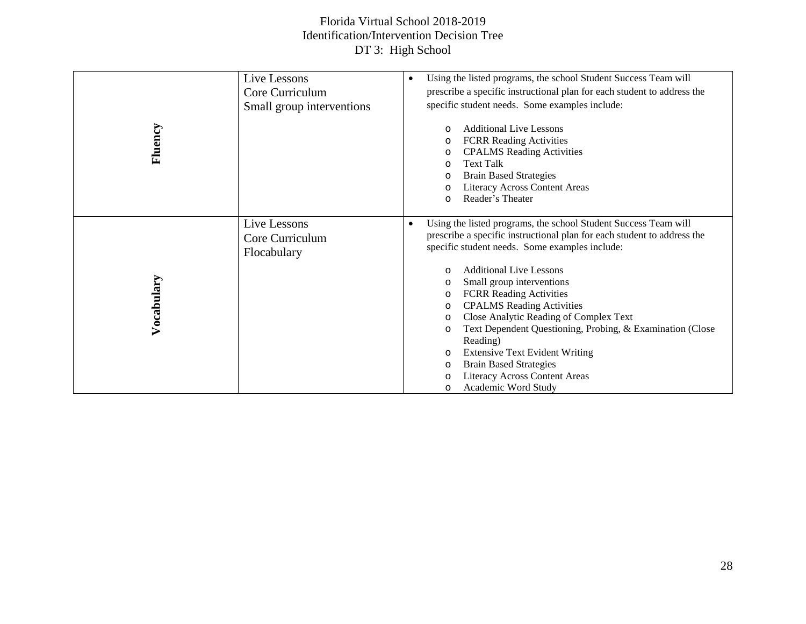| Fluency    | Live Lessons<br>Core Curriculum<br>Small group interventions | Using the listed programs, the school Student Success Team will<br>$\bullet$<br>prescribe a specific instructional plan for each student to address the<br>specific student needs. Some examples include:<br>Additional Live Lessons<br>O<br><b>FCRR</b> Reading Activities<br>O<br><b>CPALMS</b> Reading Activities<br>O<br><b>Text Talk</b><br>O<br><b>Brain Based Strategies</b><br>O<br><b>Literacy Across Content Areas</b><br>$\circ$<br>Reader's Theater<br>$\circ$                                                                                                                                                                                                           |
|------------|--------------------------------------------------------------|--------------------------------------------------------------------------------------------------------------------------------------------------------------------------------------------------------------------------------------------------------------------------------------------------------------------------------------------------------------------------------------------------------------------------------------------------------------------------------------------------------------------------------------------------------------------------------------------------------------------------------------------------------------------------------------|
| Vocabulary | Live Lessons<br>Core Curriculum<br>Flocabulary               | Using the listed programs, the school Student Success Team will<br>$\bullet$<br>prescribe a specific instructional plan for each student to address the<br>specific student needs. Some examples include:<br><b>Additional Live Lessons</b><br>$\circ$<br>Small group interventions<br>$\circ$<br><b>FCRR Reading Activities</b><br>O<br><b>CPALMS</b> Reading Activities<br>O<br>Close Analytic Reading of Complex Text<br>$\circ$<br>Text Dependent Questioning, Probing, & Examination (Close<br>O<br>Reading)<br><b>Extensive Text Evident Writing</b><br>O<br><b>Brain Based Strategies</b><br>$\circ$<br><b>Literacy Across Content Areas</b><br>O<br>Academic Word Study<br>O |